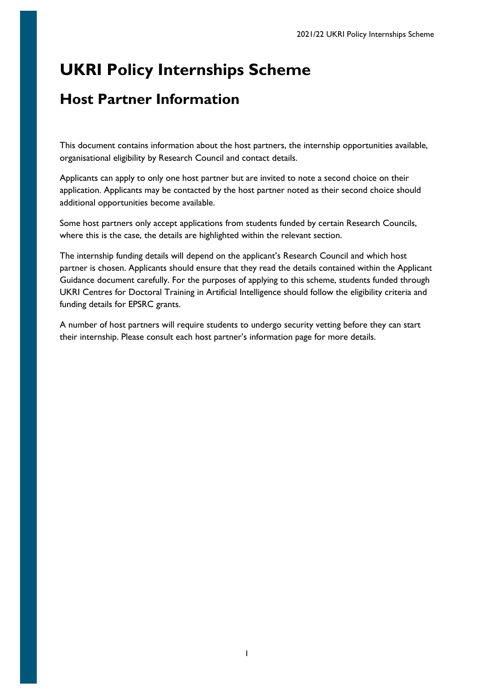# **UKRI Policy Internships Scheme**

# **Host Partner Information**

This document contains information about the host partners, the internship opportunities available, organisational eligibility by Research Council and contact details.

Applicants can apply to only one host partner but are invited to note a second choice on their application. Applicants may be contacted by the host partner noted as their second choice should additional opportunities become available.

Some host partners only accept applications from students funded by certain Research Councils, where this is the case, the details are highlighted within the relevant section.

The internship funding details will depend on the applicant's Research Council and which host partner is chosen. Applicants should ensure that they read the details contained within the Applicant Guidance document carefully. For the purposes of applying to this scheme, students funded through UKRI Centres for Doctoral Training in Artificial Intelligence should follow the eligibility criteria and funding details for EPSRC grants.

A number of host partners will require students to undergo security vetting before they can start their internship. Please consult each host partner's information page for more details.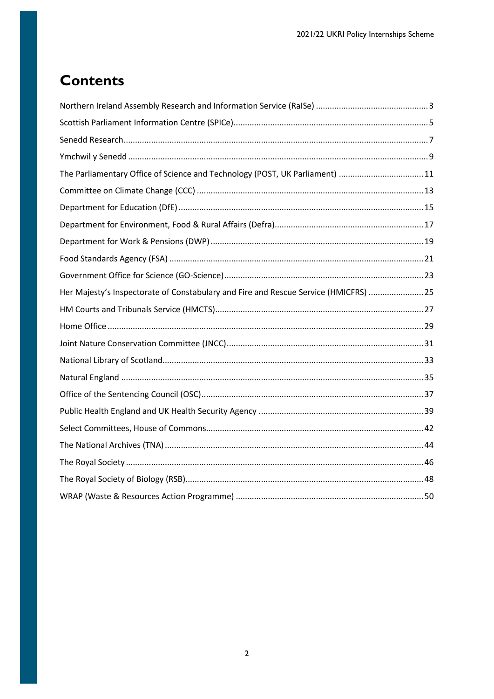# **Contents**

| The Parliamentary Office of Science and Technology (POST, UK Parliament) 11          |  |
|--------------------------------------------------------------------------------------|--|
|                                                                                      |  |
|                                                                                      |  |
|                                                                                      |  |
|                                                                                      |  |
|                                                                                      |  |
|                                                                                      |  |
| Her Majesty's Inspectorate of Constabulary and Fire and Rescue Service (HMICFRS)  25 |  |
|                                                                                      |  |
|                                                                                      |  |
|                                                                                      |  |
|                                                                                      |  |
|                                                                                      |  |
|                                                                                      |  |
|                                                                                      |  |
|                                                                                      |  |
|                                                                                      |  |
|                                                                                      |  |
|                                                                                      |  |
|                                                                                      |  |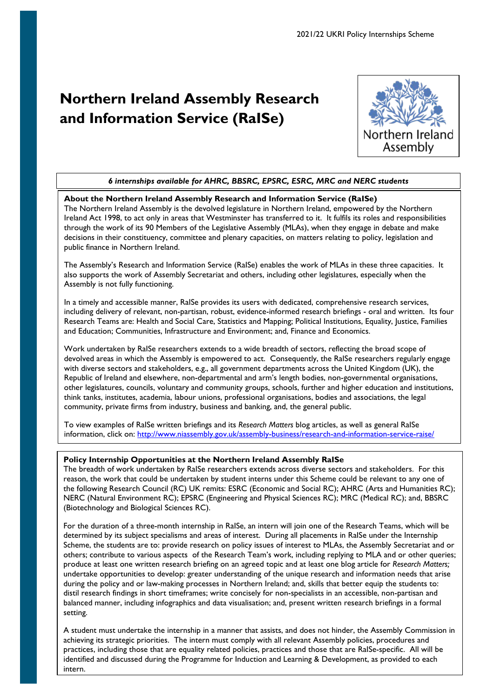# <span id="page-2-0"></span>**Northern Ireland Assembly Research and Information Service (RaISe)**



# *6 internships available for AHRC, BBSRC, EPSRC, ESRC, MRC and NERC students*

## **About the Northern Ireland Assembly Research and Information Service (RaISe)**

The Northern Ireland Assembly is the devolved legislature in Northern Ireland, empowered by the Northern Ireland Act 1998, to act only in areas that Westminster has transferred to it. It fulfils its roles and responsibilities through the work of its 90 Members of the Legislative Assembly (MLAs), when they engage in debate and make decisions in their constituency, committee and plenary capacities, on matters relating to policy, legislation and public finance in Northern Ireland.

The Assembly's Research and Information Service (RaISe) enables the work of MLAs in these three capacities. It also supports the work of Assembly Secretariat and others, including other legislatures, especially when the Assembly is not fully functioning.

In a timely and accessible manner, RaISe provides its users with dedicated, comprehensive research services, including delivery of relevant, non-partisan, robust, evidence-informed research briefings - oral and written. Its four Research Teams are: Health and Social Care, Statistics and Mapping; Political Institutions, Equality, Justice, Families and Education; Communities, Infrastructure and Environment; and, Finance and Economics.

Work undertaken by RaISe researchers extends to a wide breadth of sectors, reflecting the broad scope of devolved areas in which the Assembly is empowered to act. Consequently, the RalSe researchers regularly engage with diverse sectors and stakeholders, e.g., all government departments across the United Kingdom (UK), the Republic of Ireland and elsewhere, non-departmental and arm's length bodies, non-governmental organisations, other legislatures, councils, voluntary and community groups, schools, further and higher education and institutions, think tanks, institutes, academia, labour unions, professional organisations, bodies and associations, the legal community, private firms from industry, business and banking, and, the general public.

To view examples of RaISe written briefings and its *Research Matters* blog articles, as well as general RaISe information, click on:<http://www.niassembly.gov.uk/assembly-business/research-and-information-service-raise/>

## **Policy Internship Opportunities at the Northern Ireland Assembly RaISe**

The breadth of work undertaken by RaISe researchers extends across diverse sectors and stakeholders. For this reason, the work that could be undertaken by student interns under this Scheme could be relevant to any one of the following Research Council (RC) UK remits: ESRC (Economic and Social RC); AHRC (Arts and Humanities RC); NERC (Natural Environment RC); EPSRC (Engineering and Physical Sciences RC); MRC (Medical RC); and, BBSRC (Biotechnology and Biological Sciences RC).

For the duration of a three-month internship in RaISe, an intern will join one of the Research Teams, which will be determined by its subject specialisms and areas of interest. During all placements in RaISe under the Internship Scheme, the students are to: provide research on policy issues of interest to MLAs, the Assembly Secretariat and or others; contribute to various aspects of the Research Team's work, including replying to MLA and or other queries; produce at least one written research briefing on an agreed topic and at least one blog article for *Research Matters;*  undertake opportunities to develop: greater understanding of the unique research and information needs that arise during the policy and or law-making processes in Northern Ireland; and, skills that better equip the students to: distil research findings in short timeframes; write concisely for non-specialists in an accessible, non-partisan and balanced manner, including infographics and data visualisation; and, present written research briefings in a formal setting.

practices, including those that are equality related policies, practices and those that are Naise-specific. All will be<br>identified and discussed during the Programme for Induction and Learning & Development, as provided to A student must undertake the internship in a manner that assists, and does not hinder, the Assembly Commission in achieving its strategic priorities. The intern must comply with all relevant Assembly policies, procedures and practices, including those that are equality related policies, practices and those that are RaISe-specific. All will be intern.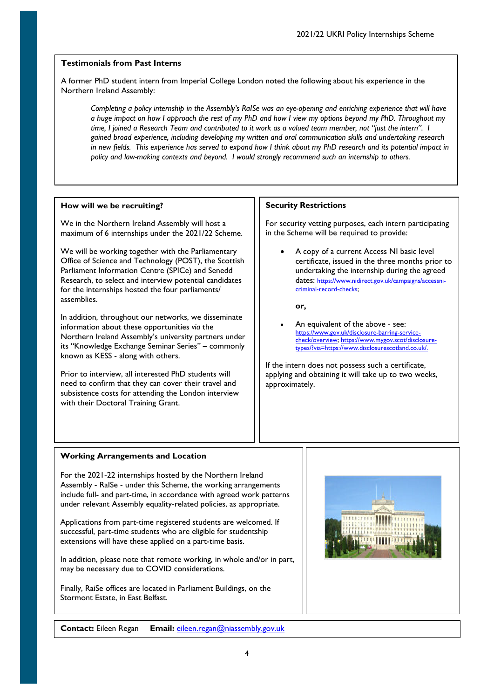A former PhD student intern from Imperial College London noted the following about his experience in the Northern Ireland Assembly:

*Completing a policy internship in the Assembly's RaISe was an eye-opening and enriching experience that will have a huge impact on how I approach the rest of my PhD and how I view my options beyond my PhD. Throughout my time, I joined a Research Team and contributed to it work as a valued team member, not "just the intern". I gained broad experience, including developing my written and oral communication skills and undertaking research in new fields. This experience has served to expand how I think about my PhD research and its potential impact in policy and law-making contexts and beyond. I would strongly recommend such an internship to others.*

## **How will we be recruiting?**

We in the Northern Ireland Assembly will host a maximum of 6 internships under the 2021/22 Scheme.

We will be working together with the Parliamentary Office of Science and Technology (POST), the Scottish Parliament Information Centre (SPICe) and Senedd Research, to select and interview potential candidates for the internships hosted the four parliaments/ assemblies.

In addition, throughout our networks, we disseminate information about these opportunities *via* the Northern Ireland Assembly's university partners under its "Knowledge Exchange Seminar Series" – commonly known as KESS - along with others.

Prior to interview, all interested PhD students will need to confirm that they can cover their travel and subsistence costs for attending the London interview with their Doctoral Training Grant.

## **Security Restrictions**

For security vetting purposes, each intern participating in the Scheme will be required to provide:

• A copy of a current Access NI basic level certificate, issued in the three months prior to undertaking the internship during the agreed dates: [https://www.nidirect.gov.uk/campaigns/accessni](https://www.nidirect.gov.uk/campaigns/accessni-criminal-record-checks)[criminal-record-checks;](https://www.nidirect.gov.uk/campaigns/accessni-criminal-record-checks)

**or,** 

An equivalent of the above - see: [https://www.gov.uk/disclosure-barring-service](https://www.gov.uk/disclosure-barring-service-check/overview)[check/overview;](https://www.gov.uk/disclosure-barring-service-check/overview) [https://www.mygov.scot/disclosure](https://www.mygov.scot/disclosure-types/?via=https://www.disclosurescotland.co.uk/)[types/?via=https://www.disclosurescotland.co.uk/.](https://www.mygov.scot/disclosure-types/?via=https://www.disclosurescotland.co.uk/)

If the intern does not possess such a certificate, applying and obtaining it will take up to two weeks, approximately.

## **Working Arrangements and Location**

For the 2021-22 internships hosted by the Northern Ireland Assembly - RaISe - under this Scheme, the working arrangements include full- and part-time, in accordance with agreed work patterns under relevant Assembly equality-related policies, as appropriate.

Applications from part-time registered students are welcomed. If successful, part-time students who are eligible for studentship extensions will have these applied on a part-time basis.

In addition, please note that remote working, in whole and/or in part, may be necessary due to COVID considerations.

Finally, RaiSe offices are located in Parliament Buildings, on the Stormont Estate, in East Belfast.



**Contact:** Eileen Regan **Email:** [eileen.regan@niassembly.gov.uk](mailto:eileen.regan@niassembly.gov.uk)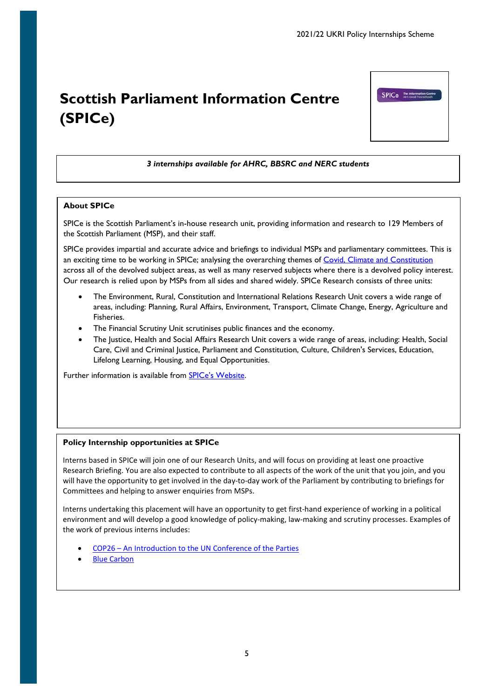# <span id="page-4-0"></span>**Scottish Parliament Information Centre (SPICe)**

# *3 internships available for AHRC, BBSRC and NERC students*

## **About SPICe**

SPICe is the Scottish Parliament's in-house research unit, providing information and research to 129 Members of the Scottish Parliament (MSP), and their staff.

SPICe provides impartial and accurate advice and briefings to individual MSPs and parliamentary committees. This is an exciting time to be working in SPICe; analysing the overarching themes of [Covid, Climate and Constitution](https://digitalpublications.parliament.scot/ResearchBriefings/Report/2021/5/12/df69604c-1a2f-4a50-94fe-26c48f8623e7) across all of the devolved subject areas, as well as many reserved subjects where there is a devolved policy interest. Our research is relied upon by MSPs from all sides and shared widely. SPICe Research consists of three units:

- The Environment, Rural, Constitution and International Relations Research Unit covers a wide range of areas, including: Planning, Rural Affairs, Environment, Transport, Climate Change, Energy, Agriculture and Fisheries.
- The Financial Scrutiny Unit scrutinises public finances and the economy.
- The Justice, Health and Social Affairs Research Unit covers a wide range of areas, including: Health, Social Care, Civil and Criminal Justice, Parliament and Constitution, Culture, Children's Services, Education, Lifelong Learning, Housing, and Equal Opportunities.

Further information is available from **SPICe's Website**.

## **Policy Internship opportunities at SPICe**

Interns based in SPICe will join one of our Research Units, and will focus on providing at least one proactive Research Briefing. You are also expected to contribute to all aspects of the work of the unit that you join, and you will have the opportunity to get involved in the day-to-day work of the Parliament by contributing to briefings for Committees and helping to answer enquiries from MSPs.

Interns undertaking this placement will have an opportunity to get first-hand experience of working in a political environment and will develop a good knowledge of policy-making, law-making and scrutiny processes. Examples of the work of previous interns includes:

- COP26 [An Introduction to the UN Conference of the Parties](https://digitalpublications.parliament.scot/ResearchBriefings/Report/2021/6/2/65344c5f-7066-4f46-aad8-92a91a4033e5)
- **[Blue Carbon](https://digitalpublications.parliament.scot/ResearchBriefings/Report/2021/3/23/e8e93b3e-08b5-4209-8160-0b146bafec9d)**

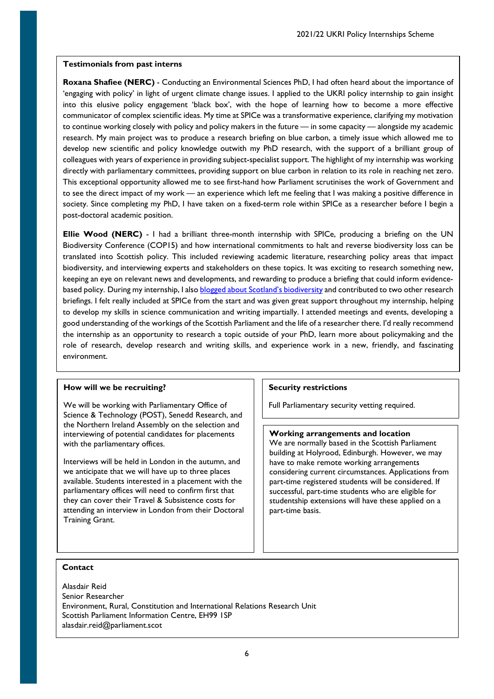**Roxana Shafiee (NERC)** - Conducting an Environmental Sciences PhD, I had often heard about the importance of 'engaging with policy' in light of urgent climate change issues. I applied to the UKRI policy internship to gain insight into this elusive policy engagement 'black box', with the hope of learning how to become a more effective communicator of complex scientific ideas. My time at SPICe was a transformative experience, clarifying my motivation to continue working closely with policy and policy makers in the future — in some capacity — alongside my academic research. My main project was to produce a research briefing on blue carbon, a timely issue which allowed me to develop new scientific and policy knowledge outwith my PhD research, with the support of a brilliant group of colleagues with years of experience in providing subject-specialist support. The highlight of my internship was working directly with parliamentary committees, providing support on blue carbon in relation to its role in reaching net zero. This exceptional opportunity allowed me to see first-hand how Parliament scrutinises the work of Government and to see the direct impact of my work — an experience which left me feeling that I was making a positive difference in society. Since completing my PhD, I have taken on a fixed-term role within SPICe as a researcher before I begin a post-doctoral academic position.

**Ellie Wood (NERC)** - I had a brilliant three-month internship with SPICe, producing a briefing on the UN Biodiversity Conference (COP15) and how international commitments to halt and reverse biodiversity loss can be translated into Scottish policy. This included reviewing academic literature, researching policy areas that impact biodiversity, and interviewing experts and stakeholders on these topics. It was exciting to research something new, keeping an eye on relevant news and developments, and rewarding to produce a briefing that could inform evidencebased policy. During my internship, I als[o blogged about Scotland's biodiversity](https://spice-spotlight.scot/2021/06/04/how-does-scotlands-biodiversity-measure-up/) and contributed to two other research briefings. I felt really included at SPICe from the start and was given great support throughout my internship, helping to develop my skills in science communication and writing impartially. I attended meetings and events, developing a good understanding of the workings of the Scottish Parliament and the life of a researcher there. I'd really recommend the internship as an opportunity to research a topic outside of your PhD, learn more about policymaking and the role of research, develop research and writing skills, and experience work in a new, friendly, and fascinating environment.

# **How will we be recruiting?**

We will be working with Parliamentary Office of Science & Technology (POST), Senedd Research, and the Northern Ireland Assembly on the selection and interviewing of potential candidates for placements with the parliamentary offices.

Interviews will be held in London in the autumn, and we anticipate that we will have up to three places available. Students interested in a placement with the parliamentary offices will need to confirm first that they can cover their Travel & Subsistence costs for attending an interview in London from their Doctoral Training Grant.

# **Security restrictions**

Full Parliamentary security vetting required.

## **Working arrangements and location**

We are normally based in the Scottish Parliament building at Holyrood, Edinburgh. However, we may have to make remote working arrangements considering current circumstances. Applications from part-time registered students will be considered. If successful, part-time students who are eligible for studentship extensions will have these applied on a part-time basis.

## **Contact**

Alasdair Reid Senior Researcher Environment, Rural, Constitution and International Relations Research Unit Scottish Parliament Information Centre, EH99 1SP alasdair.reid@parliament.scot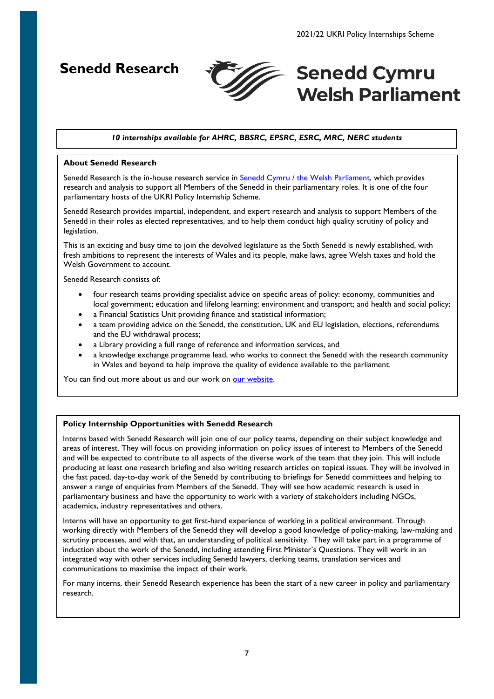<span id="page-6-0"></span>**Senedd Research**



# **Senedd Cymru Welsh Parliament**

# *10 internships available for AHRC, BBSRC, EPSRC, ESRC, MRC, NERC students*

## **About Senedd Research**

Senedd Research is the in-house research service in [Senedd Cymru / the Welsh Parliament,](https://senedd.wales/media/g2wgli3m/2020-31-eng.pdf) which provides research and analysis to support all Members of the Senedd in their parliamentary roles. It is one of the four parliamentary hosts of the UKRI Policy Internship Scheme.

Senedd Research provides impartial, independent, and expert research and analysis to support Members of the Senedd in their roles as elected representatives, and to help them conduct high quality scrutiny of policy and legislation.

This is an exciting and busy time to join the devolved legislature as the Sixth Senedd is newly established, with fresh ambitions to represent the interests of Wales and its people, make laws, agree Welsh taxes and hold the Welsh Government to account.

Senedd Research consists of:

- four research teams providing specialist advice on specific areas of policy: economy, communities and local government; education and lifelong learning; environment and transport; and health and social policy;
- a Financial Statistics Unit providing finance and statistical information;
- a team providing advice on the Senedd, the constitution, UK and EU legislation, elections, referendums and the EU withdrawal process;
- a Library providing a full range of reference and information services, and
- a knowledge exchange programme lead, who works to connect the Senedd with the research community in Wales and beyond to help improve the quality of evidence available to the parliament.

You can find out more about us and our work on [our website.](https://research.senedd.wales/)

## **Policy Internship Opportunities with Senedd Research**

Interns based with Senedd Research will join one of our policy teams, depending on their subject knowledge and areas of interest. They will focus on providing information on policy issues of interest to Members of the Senedd and will be expected to contribute to all aspects of the diverse work of the team that they join. This will include producing at least one research briefing and also writing research articles on topical issues. They will be involved in the fast paced, day-to-day work of the Senedd by contributing to briefings for Senedd committees and helping to answer a range of enquiries from Members of the Senedd. They will see how academic research is used in parliamentary business and have the opportunity to work with a variety of stakeholders including NGOs, academics, industry representatives and others.

Interns will have an opportunity to get first-hand experience of working in a political environment. Through working directly with Members of the Senedd they will develop a good knowledge of policy-making, law-making and scrutiny processes, and with that, an understanding of political sensitivity. They will take part in a programme of induction about the work of the Senedd, including attending First Minister's Questions. They will work in an integrated way with other services including Senedd lawyers, clerking teams, translation services and communications to maximise the impact of their work.

For many interns, their Senedd Research experience has been the start of a new career in policy and parliamentary research.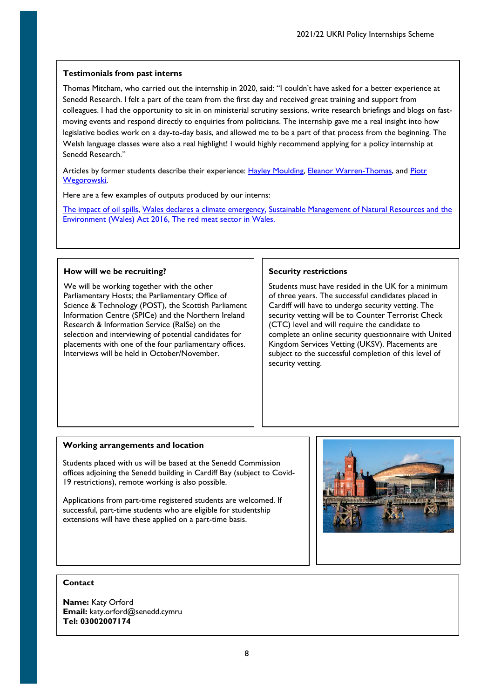Thomas Mitcham, who carried out the internship in 2020, said: "I couldn't have asked for a better experience at Senedd Research. I felt a part of the team from the first day and received great training and support from colleagues. I had the opportunity to sit in on ministerial scrutiny sessions, write research briefings and blogs on fastmoving events and respond directly to enquiries from politicians. The internship gave me a real insight into how legislative bodies work on a day-to-day basis, and allowed me to be a part of that process from the beginning. The Welsh language classes were also a real highlight! I would highly recommend applying for a policy internship at Senedd Research."

Articles by former students describe their experience: [Hayley Moulding,](https://seneddresearch.blog/2018/04/04/a-reflection-on-my-time-as-a-student-intern-in-the-research-service-by-hayley-moulding/) [Eleanor Warren-Thomas,](https://assemblyinbrief.wordpress.com/2017/01/16/reflections-on-a-nerc-policy-internship-in-the-research-service/) and Piotr [Wegorowski.](https://tlangblog.wordpress.com/2017/04/18/policy-internship-a-view-from-the-national-assembly-for-wales/)

Here are a few examples of outputs produced by our interns:

[The impact of oil spills,](https://seneddresearch.blog/2019/04/03/new-publication-the-impact-of-oil-spills/) [Wales declares a climate emergency,](https://seneddresearch.blog/2019/05/09/wales-declares-a-climate-emergency/) [Sustainable Management of Natural Resources and the](https://seneddresearch.blog/2019/01/29/sustainable-management-of-natural-resources-and-the-environment-wales-act-2016/)  Environment [\(Wales\) Act 2016,](https://seneddresearch.blog/2019/01/29/sustainable-management-of-natural-resources-and-the-environment-wales-act-2016/) [The red meat sector in Wales.](https://seneddresearch.blog/2018/12/20/new-publication-the-red-meat-sector-in-wales/) 

## **How will we be recruiting?**

We will be working together with the other Parliamentary Hosts; the Parliamentary Office of Science & Technology (POST), the Scottish Parliament Information Centre (SPICe) and the Northern Ireland Research & Information Service (RaISe) on the selection and interviewing of potential candidates for placements with one of the four parliamentary offices. Interviews will be held in October/November.

## **Security restrictions**

Students must have resided in the UK for a minimum of three years. The successful candidates placed in Cardiff will have to undergo security vetting. The security vetting will be to Counter Terrorist Check (CTC) level and will require the candidate to complete an online security questionnaire with United Kingdom Services Vetting (UKSV). Placements are subject to the successful completion of this level of security vetting.

## **Working arrangements and location**

Students placed with us will be based at the Senedd Commission offices adjoining the Senedd building in Cardiff Bay (subject to Covid-19 restrictions), remote working is also possible.

Applications from part-time registered students are welcomed. If successful, part-time students who are eligible for studentship extensions will have these applied on a part-time basis.



## **Contact**

**Name:** Katy Orford **Email:** katy.orford@senedd.cymru **Tel: 03002007174**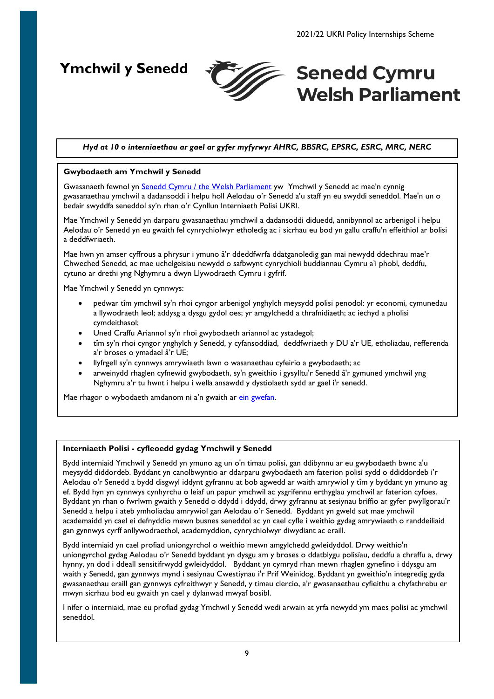<span id="page-8-0"></span>**Ymchwil y Senedd**



# **Senedd Cymru Welsh Parliament**

# *Hyd at 10 o interniaethau ar gael ar gyfer myfyrwyr AHRC, BBSRC, EPSRC, ESRC, MRC, NERC*

## **Gwybodaeth am Ymchwil y Senedd**

Gwasanaeth fewnol yn [Senedd Cymru / the Welsh Parliament](https://senedd.wales/media/g2wgli3m/2020-31-eng.pdf) yw Ymchwil y Senedd ac mae'n cynnig gwasanaethau ymchwil a dadansoddi i helpu holl Aelodau o'r Senedd a'u staff yn eu swyddi seneddol. Mae'n un o bedair swyddfa seneddol sy'n rhan o'r Cynllun Interniaeth Polisi UKRI.

Mae Ymchwil y Senedd yn darparu gwasanaethau ymchwil a dadansoddi diduedd, annibynnol ac arbenigol i helpu Aelodau o'r Senedd yn eu gwaith fel cynrychiolwyr etholedig ac i sicrhau eu bod yn gallu craffu'n effeithiol ar bolisi a deddfwriaeth.

Mae hwn yn amser cyffrous a phrysur i ymuno â'r ddeddfwrfa ddatganoledig gan mai newydd ddechrau mae'r Chweched Senedd, ac mae uchelgeisiau newydd o safbwynt cynrychioli buddiannau Cymru a'i phobl, deddfu, cytuno ar drethi yng Nghymru a dwyn Llywodraeth Cymru i gyfrif.

Mae Ymchwil y Senedd yn cynnwys:

- pedwar tîm ymchwil sy'n rhoi cyngor arbenigol ynghylch meysydd polisi penodol: yr economi, cymunedau a llywodraeth leol; addysg a dysgu gydol oes; yr amgylchedd a thrafnidiaeth; ac iechyd a pholisi cymdeithasol;
- Uned Craffu Ariannol sy'n rhoi gwybodaeth ariannol ac ystadegol;
- tîm sy'n rhoi cyngor ynghylch y Senedd, y cyfansoddiad, deddfwriaeth y DU a'r UE, etholiadau, refferenda a'r broses o ymadael â'r UE;
- llyfrgell sy'n cynnwys amrywiaeth lawn o wasanaethau cyfeirio a gwybodaeth; ac
- arweinydd rhaglen cyfnewid gwybodaeth, sy'n gweithio i gysylltu'r Senedd â'r gymuned ymchwil yng Nghymru a'r tu hwnt i helpu i wella ansawdd y dystiolaeth sydd ar gael i'r senedd.

Mae rhagor o wybodaeth amdanom ni a'n gwaith ar ein [gwefan.](https://ymchwil.senedd.cymru/)

## **Interniaeth Polisi - cyfleoedd gydag Ymchwil y Senedd**

Bydd interniaid Ymchwil y Senedd yn ymuno ag un o'n timau polisi, gan ddibynnu ar eu gwybodaeth bwnc a'u meysydd diddordeb. Byddant yn canolbwyntio ar ddarparu gwybodaeth am faterion polisi sydd o ddiddordeb i'r Aelodau o'r Senedd a bydd disgwyl iddynt gyfrannu at bob agwedd ar waith amrywiol y tîm y byddant yn ymuno ag ef. Bydd hyn yn cynnwys cynhyrchu o leiaf un papur ymchwil ac ysgrifennu erthyglau ymchwil ar faterion cyfoes. Byddant yn rhan o fwrlwm gwaith y Senedd o ddydd i ddydd, drwy gyfrannu at sesiynau briffio ar gyfer pwyllgorau'r Senedd a helpu i ateb ymholiadau amrywiol gan Aelodau o'r Senedd. Byddant yn gweld sut mae ymchwil academaidd yn cael ei defnyddio mewn busnes seneddol ac yn cael cyfle i weithio gydag amrywiaeth o randdeiliaid gan gynnwys cyrff anllywodraethol, academyddion, cynrychiolwyr diwydiant ac eraill.

Bydd interniaid yn cael profiad uniongyrchol o weithio mewn amgylchedd gwleidyddol. Drwy weithio'n uniongyrchol gydag Aelodau o'r Senedd byddant yn dysgu am y broses o ddatblygu polisïau, deddfu a chraffu a, drwy hynny, yn dod i ddeall sensitifrwydd gwleidyddol. Byddant yn cymryd rhan mewn rhaglen gynefino i ddysgu am waith y Senedd, gan gynnwys mynd i sesiynau Cwestiynau i'r Prif Weinidog. Byddant yn gweithio'n integredig gyda gwasanaethau eraill gan gynnwys cyfreithwyr y Senedd, y timau clercio, a'r gwasanaethau cyfieithu a chyfathrebu er mwyn sicrhau bod eu gwaith yn cael y dylanwad mwyaf bosibl.

I nifer o interniaid, mae eu profiad gydag Ymchwil y Senedd wedi arwain at yrfa newydd ym maes polisi ac ymchwil seneddol.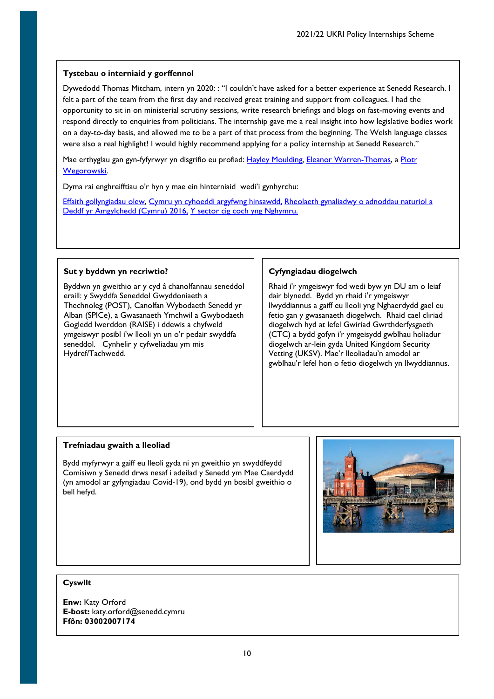# **Tystebau o interniaid y gorffennol**

Dywedodd Thomas Mitcham, intern yn 2020: : "I couldn't have asked for a better experience at Senedd Research. I felt a part of the team from the first day and received great training and support from colleagues. I had the opportunity to sit in on ministerial scrutiny sessions, write research briefings and blogs on fast-moving events and respond directly to enquiries from politicians. The internship gave me a real insight into how legislative bodies work on a day-to-day basis, and allowed me to be a part of that process from the beginning. The Welsh language classes were also a real highlight! I would highly recommend applying for a policy internship at Senedd Research."

Mae erthyglau gan gyn-fyfyrwyr yn disgrifio eu profiad: [Hayley Moulding,](https://seneddresearch.blog/2018/04/04/a-reflection-on-my-time-as-a-student-intern-in-the-research-service-by-hayley-moulding/) [Eleanor Warren-Thomas,](https://assemblyinbrief.wordpress.com/2017/01/16/reflections-on-a-nerc-policy-internship-in-the-research-service/) a [Piotr](https://tlangblog.wordpress.com/2017/04/18/policy-internship-a-view-from-the-national-assembly-for-wales/)  [Wegorowski.](https://tlangblog.wordpress.com/2017/04/18/policy-internship-a-view-from-the-national-assembly-for-wales/) 

Dyma rai enghreifftiau o'r hyn y mae ein hinterniaid wedi'i gynhyrchu:

[Effaith gollyngiadau olew,](https://ymchwil.senedd.cymru/erthyglau-ymchwil/cyhoeddiad-newydd-effaith-gollyngiadau-olew/) [Cymru yn cyhoeddi argyfwng hinsawdd,](https://ymchwil.senedd.cymru/erthyglau-ymchwil/cymru-yn-cyhoeddi-argyfwng-hinsawdd/) [Rheolaeth gynaliadwy o adnoddau naturiol a](https://seneddymchwil.blog/2019/01/29/rheolaeth-gynaliadwy-o-adnoddau-naturiol-a-deddf-yr-amgylchedd-(cymru)-2016/)  [Deddf yr Amgylchedd \(Cymru\) 2016,](https://seneddymchwil.blog/2019/01/29/rheolaeth-gynaliadwy-o-adnoddau-naturiol-a-deddf-yr-amgylchedd-(cymru)-2016/) [Y sector cig coch yng Nghymru.](https://ymchwil.senedd.cymru/erthyglau-ymchwil/cyhoeddiad-newydd-y-sector-cig-coch-yng-nghymru/)

## **Sut y byddwn yn recriwtio?**

Byddwn yn gweithio ar y cyd â chanolfannau seneddol eraill: y Swyddfa Seneddol Gwyddoniaeth a Thechnoleg (POST), Canolfan Wybodaeth Senedd yr Alban (SPICe), a Gwasanaeth Ymchwil a Gwybodaeth Gogledd Iwerddon (RAISE) i ddewis a chyfweld ymgeiswyr posibl i'w lleoli yn un o'r pedair swyddfa seneddol. Cynhelir y cyfweliadau ym mis Hydref/Tachwedd.

# **Cyfyngiadau diogelwch**

Rhaid i'r ymgeiswyr fod wedi byw yn DU am o leiaf dair blynedd. Bydd yn rhaid i'r ymgeiswyr llwyddiannus a gaiff eu lleoli yng Nghaerdydd gael eu fetio gan y gwasanaeth diogelwch. Rhaid cael cliriad diogelwch hyd at lefel Gwiriad Gwrthderfysgaeth (CTC) a bydd gofyn i'r ymgeisydd gwblhau holiadur diogelwch ar-lein gyda United Kingdom Security Vetting (UKSV). Mae'r lleoliadau'n amodol ar gwblhau'r lefel hon o fetio diogelwch yn llwyddiannus.

# **Trefniadau gwaith a lleoliad**

Bydd myfyrwyr a gaiff eu lleoli gyda ni yn gweithio yn swyddfeydd Comisiwn y Senedd drws nesaf i adeilad y Senedd ym Mae Caerdydd (yn amodol ar gyfyngiadau Covid-19), ond bydd yn bosibl gweithio o bell hefyd.



# **Cyswllt**

**Enw:** Katy Orford **E-bost:** katy.orford@senedd.cymru **Ffôn: 03002007174**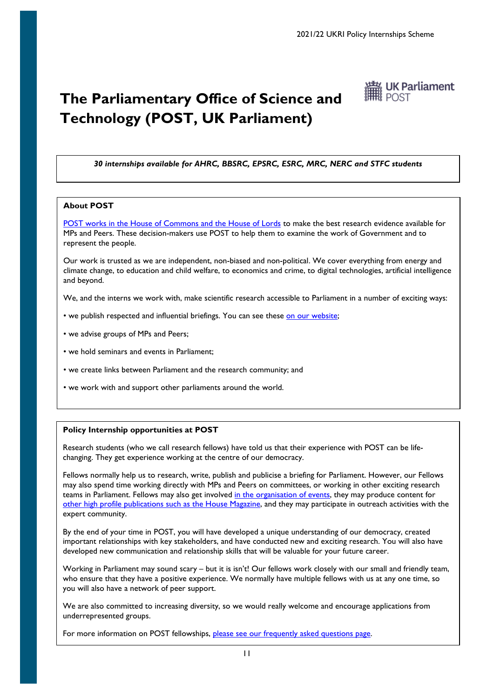# <span id="page-10-0"></span>**The Parliamentary Office of Science and Technology (POST, UK Parliament)**



*30 internships available for AHRC, BBSRC, EPSRC, ESRC, MRC, NERC and STFC students*

## **About POST**

[POST works in the House of Commons and the House of Lords](https://post.parliament.uk/) to make the best research evidence available for MPs and Peers. These decision-makers use POST to help them to examine the work of Government and to represent the people.

Our work is trusted as we are independent, non-biased and non-political. We cover everything from energy and climate change, to education and child welfare, to economics and crime, to digital technologies, artificial intelligence and beyond.

We, and the interns we work with, make scientific research accessible to Parliament in a number of exciting ways:

- we publish respected and influential briefings. You can see these [on our website;](https://post.parliament.uk/type/postnote/)
- we advise groups of MPs and Peers;
- we hold seminars and events in Parliament;
- we create links between Parliament and the research community; and
- we work with and support other parliaments around the world.

## **Policy Internship opportunities at POST**

Research students (who we call research fellows) have told us that their experience with POST can be lifechanging. They get experience working at the centre of our democracy.

Fellows normally help us to research, write, publish and publicise a briefing for Parliament. However, our Fellows may also spend time working directly with MPs and Peers on committees, or working in other exciting research teams in Parliament. Fellows may also get involve[d in the organisation of events,](https://post.parliament.uk/type/event-listing/) they may produce content for [other high profile publications such as](https://www.politicshome.com/thehouse/article/from-fake-news-on-5g-to-bleach-what-impact-does-the-covid19-infodemic-have) the House Magazine, and they may participate in outreach activities with the expert community.

By the end of your time in POST, you will have developed a unique understanding of our democracy, created important relationships with key stakeholders, and have conducted new and exciting research. You will also have developed new communication and relationship skills that will be valuable for your future career.

Working in Parliament may sound scary – but it is isn't! Our fellows work closely with our small and friendly team, who ensure that they have a positive experience. We normally have multiple fellows with us at any one time, so you will also have a network of peer support.

We are also committed to increasing diversity, so we would really welcome and encourage applications from underrepresented groups.

For more information on POST fellowships, [please see our frequently asked questions page.](https://post.parliament.uk/post-fellowships-faq/)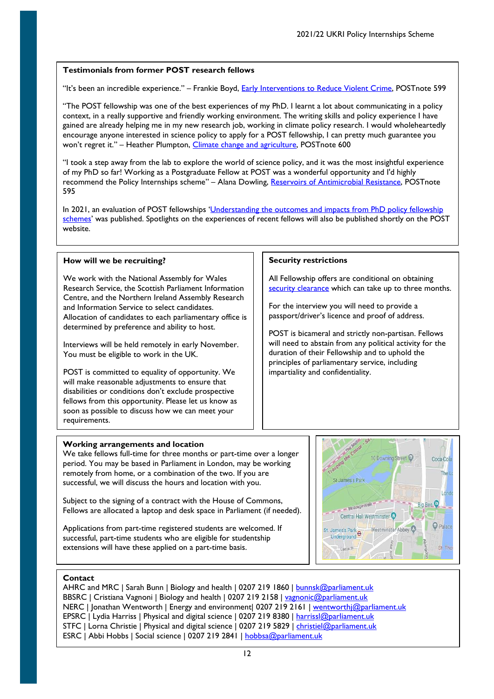## **Testimonials from former POST research fellows**

"It's been an incredible experience." – Frankie Boyd, [Early Interventions to Reduce Violent Crime,](https://post.parliament.uk/research-briefings/post-pn-0599/) POSTnote 599

"The POST fellowship was one of the best experiences of my PhD. I learnt a lot about communicating in a policy context, in a really supportive and friendly working environment. The writing skills and policy experience I have gained are already helping me in my new research job, working in climate policy research. I would wholeheartedly encourage anyone interested in science policy to apply for a POST fellowship, I can pretty much guarantee you won't regret it." – Heather Plumpton, [Climate change and agriculture,](https://post.parliament.uk/research-briefings/post-pn-0600/) POSTnote 600

"I took a step away from the lab to explore the world of science policy, and it was the most insightful experience of my PhD so far! Working as a Postgraduate Fellow at POST was a wonderful opportunity and I'd highly recommend the Policy Internships scheme" - Alana Dowling, [Reservoirs of Antimicrobial Resistance,](https://post.parliament.uk/research-briefings/post-pn-0595/) POSTnote 595

In 2021, an evaluation of POST fellowships 'Understanding the outcomes and impacts from PhD policy fellowship [schemes'](https://post.parliament.uk/understanding-the-outcomes-and-impacts-from-phd-policy-fellowship-schemes/) was published. Spotlights on the experiences of recent fellows will also be published shortly on the POST website.

**Security restrictions**

impartiality and confidentiality.

All Fellowship offers are conditional on obtaining [security clearance](https://www.parliament.uk/globalassets/documents/PSD-Security-Vetting-booklet.pdf) which can take up to three months.

POST is bicameral and strictly non-partisan. Fellows will need to abstain from any political activity for the duration of their Fellowship and to uphold the principles of parliamentary service, including

For the interview you will need to provide a passport/driver's licence and proof of address.

## **How will we be recruiting?**

We work with the National Assembly for Wales Research Service, the Scottish Parliament Information Centre, and the Northern Ireland Assembly Research and Information Service to select candidates. Allocation of candidates to each parliamentary office is determined by preference and ability to host.

Interviews will be held remotely in early November. You must be eligible to work in the UK.

POST is committed to equality of opportunity. We will make reasonable adjustments to ensure that disabilities or conditions don't exclude prospective fellows from this opportunity. Please let us know as soon as possible to discuss how we can meet your requirements.

## **Working arrangements and location**

We take fellows full-time for three months or part-time over a longer period. You may be based in Parliament in London, may be working remotely from home, or a combination of the two. If you are successful, we will discuss the hours and location with you.

Subject to the signing of a contract with the House of Commons, Fellows are allocated a laptop and desk space in Parliament (if needed).

Applications from part-time registered students are welcomed. If successful, part-time students who are eligible for studentship extensions will have these applied on a part-time basis.



## **Contact**

AHRC and MRC | Sarah Bunn | Biology and health | 0207 219 1860 | [bunnsk@parliament.uk](mailto:bunnsk@parliament.uk) BBSRC | Cristiana Vagnoni | Biology and health | 0207 219 2158 | [vagnonic@parliament.uk](mailto:vagnonic@parliament.uk) NERC | Jonathan Wentworth | Energy and environment| 0207 219 2161 | [wentworthj@parliament.uk](mailto:wentworthj@parliament.uk) EPSRC | Lydia Harriss | Physical and digital science | 0207 219 8380 [| harrissl@parliament.uk](mailto:harrissl@parliament.uk) STFC | Lorna Christie | Physical and digital science | 0207 219 5829 | [christiel@parliament.uk](mailto:christiel@parliament.uk) ESRC | Abbi Hobbs | Social science | 0207 219 2841 | hobbsa@parliament.uk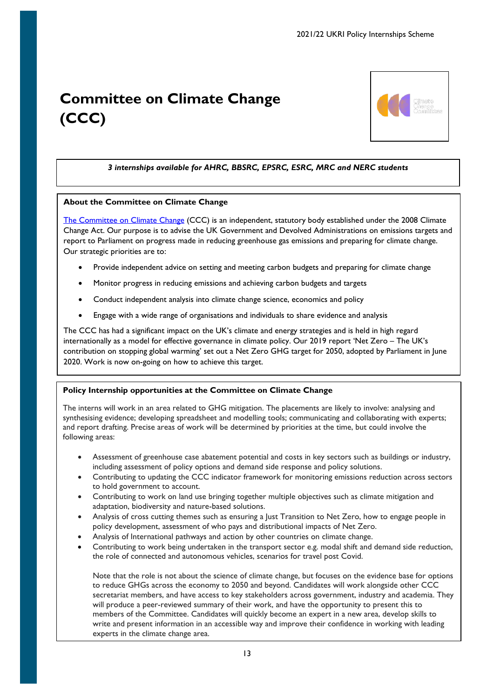# <span id="page-12-0"></span>**Committee on Climate Change (CCC)**



# *3 internships available for AHRC, BBSRC, EPSRC, ESRC, MRC and NERC students*

## **About the Committee on Climate Change**

[The Committee on Climate Change](https://www.theccc.org.uk/) (CCC) is an independent, statutory body established under the 2008 Climate Change Act. Our purpose is to advise the UK Government and Devolved Administrations on emissions targets and report to Parliament on progress made in reducing greenhouse gas emissions and preparing for climate change. Our strategic priorities are to:

- Provide independent advice on setting and meeting carbon budgets and preparing for climate change
- Monitor progress in reducing emissions and achieving carbon budgets and targets
- Conduct independent analysis into climate change science, economics and policy
- Engage with a wide range of organisations and individuals to share evidence and analysis

The CCC has had a significant impact on the UK's climate and energy strategies and is held in high regard internationally as a model for effective governance in climate policy. Our 2019 report 'Net Zero – The UK's contribution on stopping global warming' set out a Net Zero GHG target for 2050, adopted by Parliament in June 2020. Work is now on-going on how to achieve this target.

# **Policy Internship opportunities at the Committee on Climate Change**

The interns will work in an area related to GHG mitigation. The placements are likely to involve: analysing and synthesising evidence; developing spreadsheet and modelling tools; communicating and collaborating with experts; and report drafting. Precise areas of work will be determined by priorities at the time, but could involve the following areas:

- Assessment of greenhouse case abatement potential and costs in key sectors such as buildings or industry, including assessment of policy options and demand side response and policy solutions.
- Contributing to updating the CCC indicator framework for monitoring emissions reduction across sectors to hold government to account.
- Contributing to work on land use bringing together multiple objectives such as climate mitigation and adaptation, biodiversity and nature-based solutions.
- Analysis of cross cutting themes such as ensuring a Just Transition to Net Zero, how to engage people in policy development, assessment of who pays and distributional impacts of Net Zero.
- Analysis of International pathways and action by other countries on climate change.
- Contributing to work being undertaken in the transport sector e.g. modal shift and demand side reduction, the role of connected and autonomous vehicles, scenarios for travel post Covid.

Note that the role is not about the science of climate change, but focuses on the evidence base for options to reduce GHGs across the economy to 2050 and beyond. Candidates will work alongside other CCC secretariat members, and have access to key stakeholders across government, industry and academia. They will produce a peer-reviewed summary of their work, and have the opportunity to present this to members of the Committee. Candidates will quickly become an expert in a new area, develop skills to write and present information in an accessible way and improve their confidence in working with leading experts in the climate change area.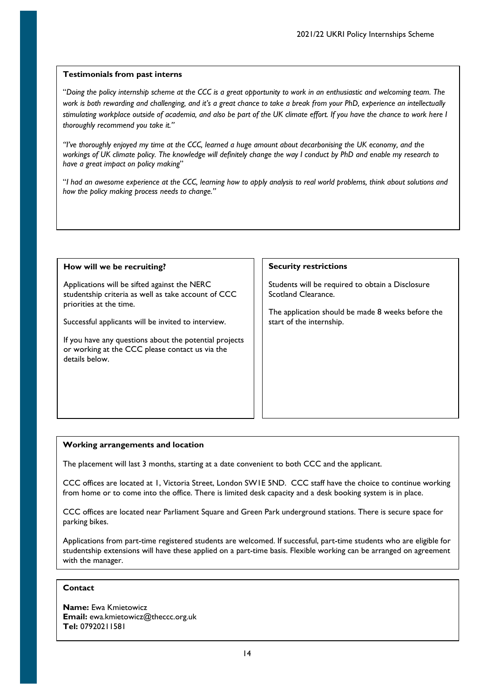"*Doing the policy internship scheme at the CCC is a great opportunity to work in an enthusiastic and welcoming team. The work is both rewarding and challenging, and it's a great chance to take a break from your PhD, experience an intellectually stimulating workplace outside of academia, and also be part of the UK climate effort. If you have the chance to work here I thoroughly recommend you take it."*

*"I've thoroughly enjoyed my time at the CCC, learned a huge amount about decarbonising the UK economy, and the workings of UK climate policy. The knowledge will definitely change the way I conduct by PhD and enable my research to have a great impact on policy making*"

"*I had an awesome experience at the CCC, learning how to apply analysis to real world problems, think about solutions and how the policy making process needs to change."*

## **How will we be recruiting?**

Applications will be sifted against the NERC studentship criteria as well as take account of CCC priorities at the time.

Successful applicants will be invited to interview.

If you have any questions about the potential projects or working at the CCC please contact us via the details below.

## **Security restrictions**

Students will be required to obtain a Disclosure Scotland Clearance.

The application should be made 8 weeks before the start of the internship.

## **Working arrangements and location**

The placement will last 3 months, starting at a date convenient to both CCC and the applicant.

CCC offices are located at 1, Victoria Street, London SW1E 5ND. CCC staff have the choice to continue working from home or to come into the office. There is limited desk capacity and a desk booking system is in place.

CCC offices are located near Parliament Square and Green Park underground stations. There is secure space for parking bikes.

Applications from part-time registered students are welcomed. If successful, part-time students who are eligible for studentship extensions will have these applied on a part-time basis. Flexible working can be arranged on agreement with the manager.

# **Contact**

**Name:** Ewa Kmietowicz **Email:** ewa.kmietowicz@theccc.org.uk **Tel:** 07920211581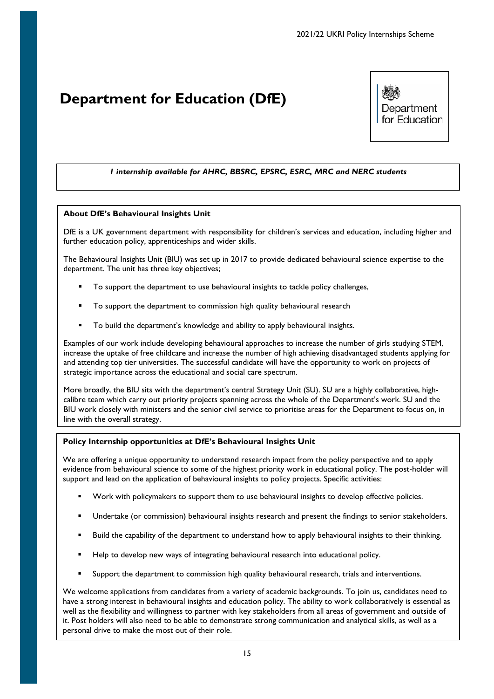# <span id="page-14-0"></span>**Department for Education (DfE)**



# *1 internship available for AHRC, BBSRC, EPSRC, ESRC, MRC and NERC students*

## **About DfE's Behavioural Insights Unit**

DfE is a UK government department with responsibility for children's services and education, including higher and further education policy, apprenticeships and wider skills.

The Behavioural Insights Unit (BIU) was set up in 2017 to provide dedicated behavioural science expertise to the department. The unit has three key objectives;

- To support the department to use behavioural insights to tackle policy challenges,
- To support the department to commission high quality behavioural research
- To build the department's knowledge and ability to apply behavioural insights.

Examples of our work include developing behavioural approaches to increase the number of girls studying STEM, increase the uptake of free childcare and increase the number of high achieving disadvantaged students applying for and attending top tier universities. The successful candidate will have the opportunity to work on projects of strategic importance across the educational and social care spectrum.

More broadly, the BIU sits with the department's central Strategy Unit (SU). SU are a highly collaborative, highcalibre team which carry out priority projects spanning across the whole of the Department's work. SU and the BIU work closely with ministers and the senior civil service to prioritise areas for the Department to focus on, in line with the overall strategy.

## **Policy Internship opportunities at DfE's Behavioural Insights Unit**

We are offering a unique opportunity to understand research impact from the policy perspective and to apply evidence from behavioural science to some of the highest priority work in educational policy. The post-holder will support and lead on the application of behavioural insights to policy projects. Specific activities:

- Work with policymakers to support them to use behavioural insights to develop effective policies.
- Undertake (or commission) behavioural insights research and present the findings to senior stakeholders.
- Build the capability of the department to understand how to apply behavioural insights to their thinking.
- Help to develop new ways of integrating behavioural research into educational policy.
- Support the department to commission high quality behavioural research, trials and interventions.

We welcome applications from candidates from a variety of academic backgrounds. To join us, candidates need to have a strong interest in behavioural insights and education policy. The ability to work collaboratively is essential as well as the flexibility and willingness to partner with key stakeholders from all areas of government and outside of it. Post holders will also need to be able to demonstrate strong communication and analytical skills, as well as a personal drive to make the most out of their role.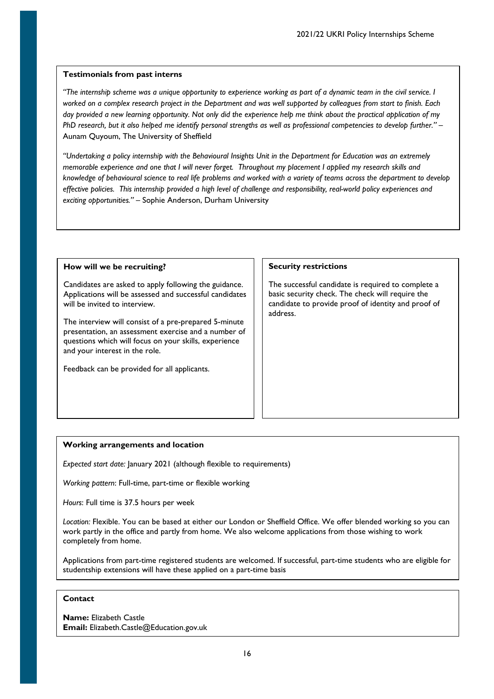*"The internship scheme was a unique opportunity to experience working as part of a dynamic team in the civil service. I worked on a complex research project in the Department and was well supported by colleagues from start to finish. Each day provided a new learning opportunity. Not only did the experience help me think about the practical application of my PhD research, but it also helped me identify personal strengths as well as professional competencies to develop further."* – Aunam Quyoum, The University of Sheffield

*"Undertaking a policy internship with the Behavioural Insights Unit in the Department for Education was an extremely memorable experience and one that I will never forget. Throughout my placement I applied my research skills and knowledge of behavioural science to real life problems and worked with a variety of teams across the department to develop effective policies. This internship provided a high level of challenge and responsibility, real-world policy experiences and exciting opportunities."* – Sophie Anderson, Durham University

## **How will we be recruiting?**

Candidates are asked to apply following the guidance. Applications will be assessed and successful candidates will be invited to interview.

The interview will consist of a pre-prepared 5-minute presentation, an assessment exercise and a number of questions which will focus on your skills, experience and your interest in the role.

Feedback can be provided for all applicants.

## **Security restrictions**

The successful candidate is required to complete a basic security check. The check will require the candidate to provide proof of identity and proof of address.

# **Working arrangements and location**

*Expected start date:* January 2021 (although flexible to requirements)

*Working pattern*: Full-time, part-time or flexible working

*Hours*: Full time is 37.5 hours per week

*Location:* Flexible. You can be based at either our London or Sheffield Office. We offer blended working so you can work partly in the office and partly from home. We also welcome applications from those wishing to work completely from home.

Applications from part-time registered students are welcomed. If successful, part-time students who are eligible for studentship extensions will have these applied on a part-time basis

## **Contact**

**Name:** Elizabeth Castle **Email:** Elizabeth.Castle@Education.gov.uk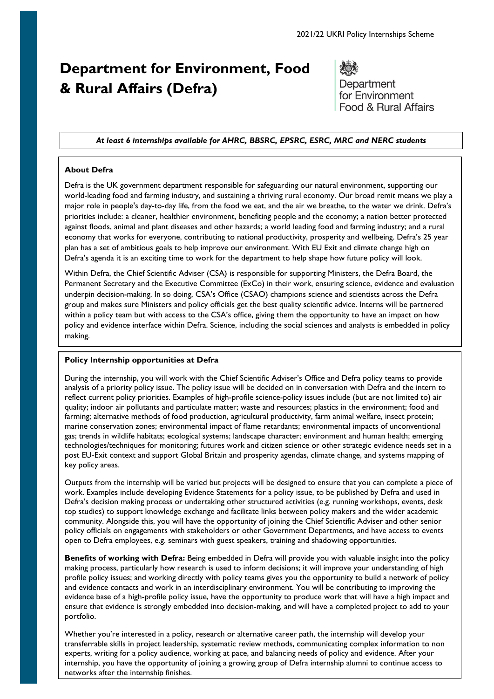# <span id="page-16-0"></span>**Department for Environment, Food & Rural Affairs (Defra)**

Department for Environment Food & Rural Affairs

#### *At least 6 internships available for AHRC, BBSRC, EPSRC, ESRC, MRC and NERC students*

## **About Defra**

Defra is the UK government department responsible for safeguarding our natural environment, supporting our world-leading food and farming industry, and sustaining a thriving rural economy. Our broad remit means we play a major role in people's day-to-day life, from the food we eat, and the air we breathe, to the water we drink. Defra's priorities include: a cleaner, healthier environment, benefiting people and the economy; a nation better protected against floods, animal and plant diseases and other hazards; a world leading food and farming industry; and a rural economy that works for everyone, contributing to national productivity, prosperity and wellbeing. Defra's 25 year plan has a set of ambitious goals to help improve our environment. With EU Exit and climate change high on Defra's agenda it is an exciting time to work for the department to help shape how future policy will look.

Within Defra, the Chief Scientific Adviser (CSA) is responsible for supporting Ministers, the Defra Board, the Permanent Secretary and the Executive Committee (ExCo) in their work, ensuring science, evidence and evaluation underpin decision-making. In so doing, CSA's Office (CSAO) champions science and scientists across the Defra group and makes sure Ministers and policy officials get the best quality scientific advice. Interns will be partnered within a policy team but with access to the CSA's office, giving them the opportunity to have an impact on how policy and evidence interface within Defra. Science, including the social sciences and analysts is embedded in policy making.

#### **Policy Internship opportunities at Defra**

During the internship, you will work with the Chief Scientific Adviser's Office and Defra policy teams to provide analysis of a priority policy issue. The policy issue will be decided on in conversation with Defra and the intern to reflect current policy priorities. Examples of high-profile science-policy issues include (but are not limited to) air quality; indoor air pollutants and particulate matter; waste and resources; plastics in the environment; food and farming; alternative methods of food production, agricultural productivity, farm animal welfare, insect protein; marine conservation zones; environmental impact of flame retardants; environmental impacts of unconventional gas; trends in wildlife habitats; ecological systems; landscape character; environment and human health; emerging technologies/techniques for monitoring; futures work and citizen science or other strategic evidence needs set in a post EU-Exit context and support Global Britain and prosperity agendas, climate change, and systems mapping of key policy areas.

Outputs from the internship will be varied but projects will be designed to ensure that you can complete a piece of work. Examples include developing Evidence Statements for a policy issue, to be published by Defra and used in Defra's decision making process or undertaking other structured activities (e.g. running workshops, events, desk top studies) to support knowledge exchange and facilitate links between policy makers and the wider academic community. Alongside this, you will have the opportunity of joining the Chief Scientific Adviser and other senior policy officials on engagements with stakeholders or other Government Departments, and have access to events open to Defra employees, e.g. seminars with guest speakers, training and shadowing opportunities.

**Benefits of working with Defra:** Being embedded in Defra will provide you with valuable insight into the policy making process, particularly how research is used to inform decisions; it will improve your understanding of high profile policy issues; and working directly with policy teams gives you the opportunity to build a network of policy and evidence contacts and work in an interdisciplinary environment. You will be contributing to improving the evidence base of a high-profile policy issue, have the opportunity to produce work that will have a high impact and ensure that evidence is strongly embedded into decision-making, and will have a completed project to add to your portfolio.

17 experts, writing for a policy audience, working at pace, and balancing needs of policy and evidence. After your Whether you're interested in a policy, research or alternative career path, the internship will develop your transferrable skills in project leadership, systematic review methods, communicating complex information to non internship, you have the opportunity of joining a growing group of Defra internship alumni to continue access to networks after the internship finishes.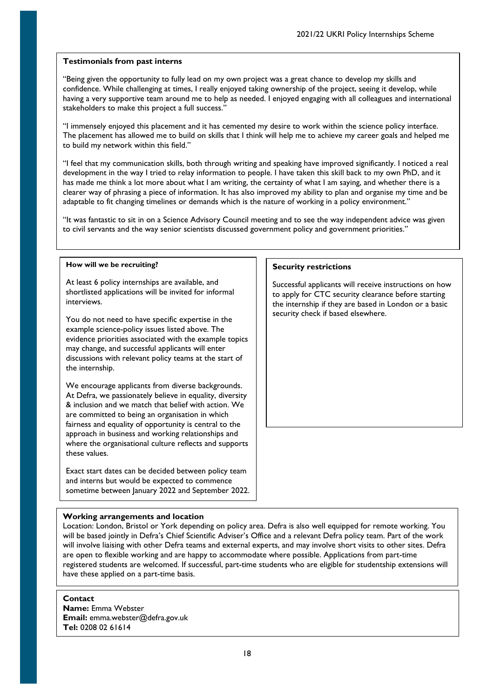"Being given the opportunity to fully lead on my own project was a great chance to develop my skills and confidence. While challenging at times, I really enjoyed taking ownership of the project, seeing it develop, while having a very supportive team around me to help as needed. I enjoyed engaging with all colleagues and international stakeholders to make this project a full success."

"I immensely enjoyed this placement and it has cemented my desire to work within the science policy interface. The placement has allowed me to build on skills that I think will help me to achieve my career goals and helped me to build my network within this field."

"I feel that my communication skills, both through writing and speaking have improved significantly. I noticed a real development in the way I tried to relay information to people. I have taken this skill back to my own PhD, and it has made me think a lot more about what I am writing, the certainty of what I am saying, and whether there is a clearer way of phrasing a piece of information. It has also improved my ability to plan and organise my time and be adaptable to fit changing timelines or demands which is the nature of working in a policy environment."

"It was fantastic to sit in on a Science Advisory Council meeting and to see the way independent advice was given to civil servants and the way senior scientists discussed government policy and government priorities."

#### **How will we be recruiting?**

At least 6 policy internships are available, and shortlisted applications will be invited for informal interviews.

You do not need to have specific expertise in the example science-policy issues listed above. The evidence priorities associated with the example topics may change, and successful applicants will enter discussions with relevant policy teams at the start of the internship.

We encourage applicants from diverse backgrounds. At Defra, we passionately believe in equality, diversity & inclusion and we match that belief with action. We are committed to being an organisation in which fairness and equality of opportunity is central to the approach in business and working relationships and where the organisational culture reflects and supports these values.

Exact start dates can be decided between policy team and interns but would be expected to commence sometime between January 2022 and September 2022.

#### **Security restrictions**

Successful applicants will receive instructions on how to apply for CTC security clearance before starting the internship if they are based in London or a basic security check if based elsewhere.

## **Working arrangements and location**

Location: London, Bristol or York depending on policy area. Defra is also well equipped for remote working. You will be based jointly in Defra's Chief Scientific Adviser's Office and a relevant Defra policy team. Part of the work will involve liaising with other Defra teams and external experts, and may involve short visits to other sites. Defra are open to flexible working and are happy to accommodate where possible. Applications from part-time registered students are welcomed. If successful, part-time students who are eligible for studentship extensions will have these applied on a part-time basis.

## **Contact**

**Name:** Emma Webster **Email:** emma.webster@defra.gov.uk **Tel:** 0208 02 61614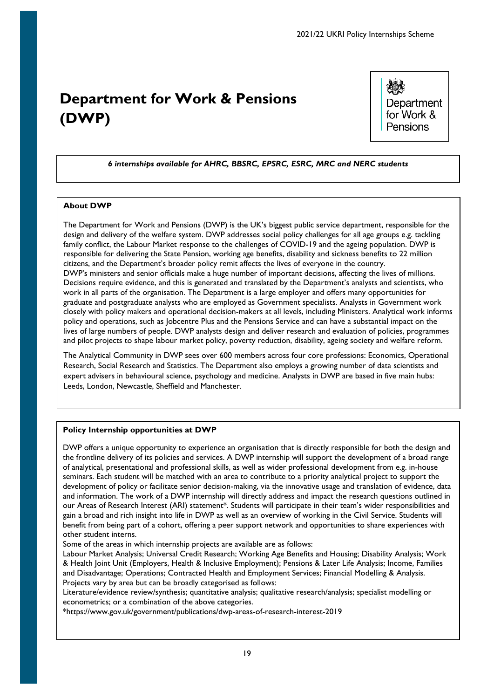# <span id="page-18-0"></span>**Department for Work & Pensions (DWP)**

Department for Work & Pensions

# *6 internships available for AHRC, BBSRC, EPSRC, ESRC, MRC and NERC students*

## **About DWP**

The Department for Work and Pensions (DWP) is the UK's biggest public service department, responsible for the design and delivery of the welfare system. DWP addresses social policy challenges for all age groups e.g. tackling family conflict, the Labour Market response to the challenges of COVID-19 and the ageing population. DWP is responsible for delivering the State Pension, working age benefits, disability and sickness benefits to 22 million citizens, and the Department's broader policy remit affects the lives of everyone in the country. DWP's ministers and senior officials make a huge number of important decisions, affecting the lives of millions. Decisions require evidence, and this is generated and translated by the Department's analysts and scientists, who work in all parts of the organisation. The Department is a large employer and offers many opportunities for graduate and postgraduate analysts who are employed as Government specialists. Analysts in Government work closely with policy makers and operational decision-makers at all levels, including Ministers. Analytical work informs policy and operations, such as Jobcentre Plus and the Pensions Service and can have a substantial impact on the lives of large numbers of people. DWP analysts design and deliver research and evaluation of policies, programmes and pilot projects to shape labour market policy, poverty reduction, disability, ageing society and welfare reform.

The Analytical Community in DWP sees over 600 members across four core professions: Economics, Operational Research, Social Research and Statistics. The Department also employs a growing number of data scientists and expert advisers in behavioural science, psychology and medicine. Analysts in DWP are based in five main hubs: Leeds, London, Newcastle, Sheffield and Manchester.

## **Policy Internship opportunities at DWP**

DWP offers a unique opportunity to experience an organisation that is directly responsible for both the design and the frontline delivery of its policies and services. A DWP internship will support the development of a broad range of analytical, presentational and professional skills, as well as wider professional development from e.g. in-house seminars. Each student will be matched with an area to contribute to a priority analytical project to support the development of policy or facilitate senior decision-making, via the innovative usage and translation of evidence, data and information. The work of a DWP internship will directly address and impact the research questions outlined in our Areas of Research Interest (ARI) statement\*. Students will participate in their team's wider responsibilities and gain a broad and rich insight into life in DWP as well as an overview of working in the Civil Service. Students will benefit from being part of a cohort, offering a peer support network and opportunities to share experiences with other student interns.

Some of the areas in which internship projects are available are as follows:

Labour Market Analysis; Universal Credit Research; Working Age Benefits and Housing; Disability Analysis; Work & Health Joint Unit (Employers, Health & Inclusive Employment); Pensions & Later Life Analysis; Income, Families and Disadvantage; Operations; Contracted Health and Employment Services; Financial Modelling & Analysis. Projects vary by area but can be broadly categorised as follows:

Literature/evidence review/synthesis; quantitative analysis; qualitative research/analysis; specialist modelling or econometrics; or a combination of the above categories.

\*https://www.gov.uk/government/publications/dwp-areas-of-research-interest-2019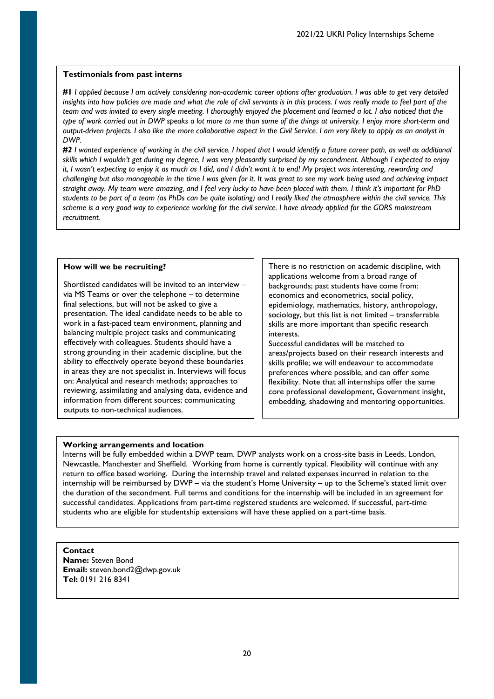**#1** *I applied because I am actively considering non-academic career options after graduation. I was able to get very detailed*  insights into how policies are made and what the role of civil servants is in this process. I was really made to feel part of the *team and was invited to every single meeting. I thoroughly enjoyed the placement and learned a lot. I also noticed that the type of work carried out in DWP speaks a lot more to me than some of the things at university. I enjoy more short-term and output-driven projects. I also like the more collaborative aspect in the Civil Service. I am very likely to apply as an analyst in DWP.* 

*#2 I wanted experience of working in the civil service. I hoped that I would identify a future career path, as well as additional skills which I wouldn't get during my degree. I was very pleasantly surprised by my secondment. Although I expected to enjoy it, I wasn't expecting to enjoy it as much as I did, and I didn't want it to end! My project was interesting, rewarding and challenging but also manageable in the time I was given for it. It was great to see my work being used and achieving impact straight away. My team were amazing, and I feel very lucky to have been placed with them. I think it's important for PhD students to be part of a team (as PhDs can be quite isolating) and I really liked the atmosphere within the civil service. This scheme is a very good way to experience working for the civil service. I have already applied for the GORS mainstream recruitment.*

### **How will we be recruiting?**

Shortlisted candidates will be invited to an interview – via MS Teams or over the telephone – to determine final selections, but will not be asked to give a presentation. The ideal candidate needs to be able to work in a fast-paced team environment, planning and balancing multiple project tasks and communicating effectively with colleagues. Students should have a strong grounding in their academic discipline, but the ability to effectively operate beyond these boundaries in areas they are not specialist in. Interviews will focus on: Analytical and research methods; approaches to reviewing, assimilating and analysing data, evidence and information from different sources; communicating outputs to non-technical audiences.

There is no restriction on academic discipline, with applications welcome from a broad range of backgrounds; past students have come from: economics and econometrics, social policy, epidemiology, mathematics, history, anthropology, sociology, but this list is not limited – transferrable skills are more important than specific research interests.

Successful candidates will be matched to areas/projects based on their research interests and skills profile; we will endeavour to accommodate preferences where possible, and can offer some flexibility. Note that all internships offer the same core professional development, Government insight, embedding, shadowing and mentoring opportunities.

#### Ī **Working arrangements and location**

ľ Newcastle, Manchester and Sheffield. Working from home is currently typical. Flexibility will continue with any return to office based working. During the internship travel and related expenses incurred in relation to the internship will be reimbursed by DWP – via the student's Home University – up to the Scheme's stated limit over the duration of the secondment. Full terms and conditions for the internship will be included in an agreement for successful candidates. Applications from part-time registered students are welcomed. If successful, part-time students who are eligible for studentship extensions will have these applied on a part-time basis. Interns will be fully embedded within a DWP team. DWP analysts work on a cross-site basis in Leeds, London,

#### **Contact**

 $\overline{a}$ 

Ī

**Name:** Steven Bond **Email:** steven.bond2@dwp.gov.uk **Tel:** 0191 216 8341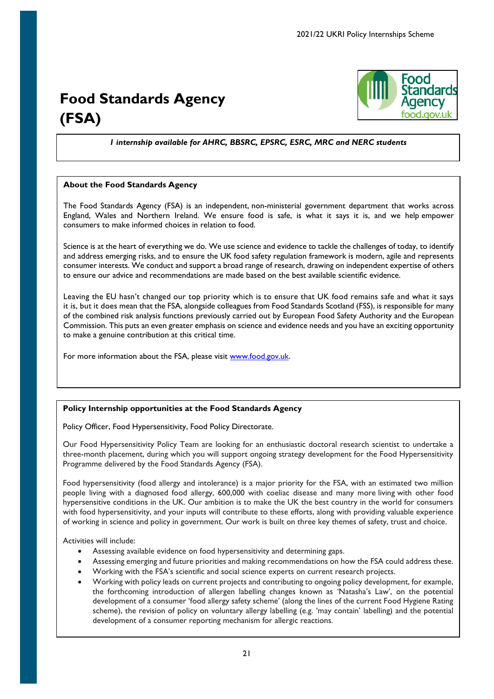# <span id="page-20-0"></span>**Food Standards Agency (FSA)**



*1 internship available for AHRC, BBSRC, EPSRC, ESRC, MRC and NERC students*

## **About the Food Standards Agency**

The Food Standards Agency (FSA) is an independent, non-ministerial government department that works across England, Wales and Northern Ireland. We ensure food is safe, is what it says it is, and we help empower consumers to make informed choices in relation to food.

Science is at the heart of everything we do. We use science and evidence to tackle the challenges of today, to identify and address emerging risks, and to ensure the UK food safety regulation framework is modern, agile and represents consumer interests. We conduct and support a broad range of research, drawing on independent expertise of others to ensure our advice and recommendations are made based on the best available scientific evidence.

Leaving the EU hasn't changed our top priority which is to ensure that UK food remains safe and what it says it is, but it does mean that the FSA, alongside colleagues from Food Standards Scotland (FSS), is responsible for many of the combined risk analysis functions previously carried out by European Food Safety Authority and the European Commission. This puts an even greater emphasis on science and evidence needs and you have an exciting opportunity to make a genuine contribution at this critical time.

For more information about the FSA, please visit [www.food.gov.uk.](http://www.food.gov.uk/)

## **Policy Internship opportunities at the Food Standards Agency**

Policy Officer, Food Hypersensitivity, Food Policy Directorate.

Our Food Hypersensitivity Policy Team are looking for an enthusiastic doctoral research scientist to undertake a three-month placement, during which you will support ongoing strategy development for the Food Hypersensitivity Programme delivered by the Food Standards Agency (FSA).

Food hypersensitivity (food allergy and intolerance) is a major priority for the FSA, with an estimated two million people living with a diagnosed food allergy, 600,000 with coeliac disease and many more living with other food hypersensitive conditions in the UK. Our ambition is to make the UK the best country in the world for consumers with food hypersensitivity, and your inputs will contribute to these efforts, along with providing valuable experience of working in science and policy in government. Our work is built on three key themes of safety, trust and choice.

Activities will include:

- Assessing available evidence on food hypersensitivity and determining gaps.
- Assessing emerging and future priorities and making recommendations on how the FSA could address these.
- Working with the FSA's scientific and social science experts on current research projects.
- Working with policy leads on current projects and contributing to ongoing policy development, for example, the forthcoming introduction of allergen labelling changes known as 'Natasha's Law', on the potential development of a consumer 'food allergy safety scheme' (along the lines of the current Food Hygiene Rating scheme), the revision of policy on voluntary allergy labelling (e.g. 'may contain' labelling) and the potential development of a consumer reporting mechanism for allergic reactions.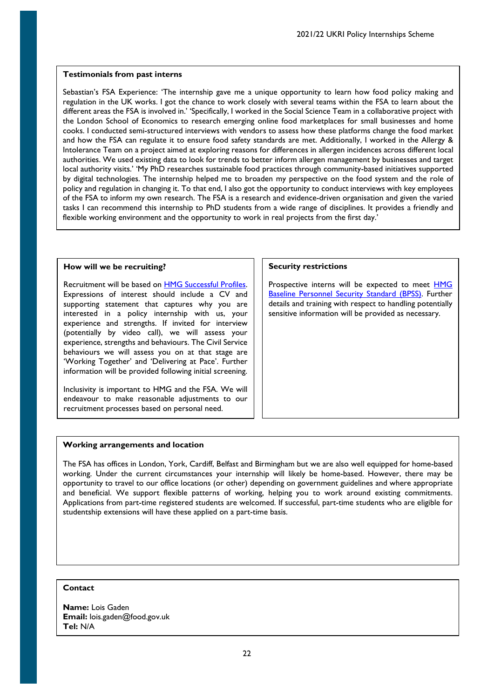Sebastian's FSA Experience: 'The internship gave me a unique opportunity to learn how food policy making and regulation in the UK works. I got the chance to work closely with several teams within the FSA to learn about the different areas the FSA is involved in.' 'Specifically, I worked in the Social Science Team in a collaborative project with the London School of Economics to research emerging online food marketplaces for small businesses and home cooks. I conducted semi-structured interviews with vendors to assess how these platforms change the food market and how the FSA can regulate it to ensure food safety standards are met. Additionally, I worked in the Allergy & Intolerance Team on a project aimed at exploring reasons for differences in allergen incidences across different local authorities. We used existing data to look for trends to better inform allergen management by businesses and target local authority visits.' 'My PhD researches sustainable food practices through community-based initiatives supported by digital technologies. The internship helped me to broaden my perspective on the food system and the role of policy and regulation in changing it. To that end, I also got the opportunity to conduct interviews with key employees of the FSA to inform my own research. The FSA is a research and evidence-driven organisation and given the varied tasks I can recommend this internship to PhD students from a wide range of disciplines. It provides a friendly and flexible working environment and the opportunity to work in real projects from the first day.'

### **How will we be recruiting?**

Recruitment will be based on **HMG Successful Profiles**. Expressions of interest should include a CV and supporting statement that captures why you are interested in a policy internship with us, your experience and strengths. If invited for interview (potentially by video call), we will assess your experience, strengths and behaviours. The Civil Service behaviours we will assess you on at that stage are 'Working Together' and 'Delivering at Pace'. Further information will be provided following initial screening.

Inclusivity is important to HMG and the FSA. We will endeavour to make reasonable adjustments to our recruitment processes based on personal need.

#### **Security restrictions**

Prospective interns will be expected to meet [HMG](https://www.gov.uk/government/publications/government-baseline-personnel-security-standard)  [Baseline Personnel Security Standard \(BPSS\).](https://www.gov.uk/government/publications/government-baseline-personnel-security-standard) Further details and training with respect to handling potentially sensitive information will be provided as necessary.

## **Working arrangements and location**

The FSA has offices in London, York, Cardiff, Belfast and Birmingham but we are also well equipped for home-based working. Under the current circumstances your internship will likely be home-based. However, there may be opportunity to travel to our office locations (or other) depending on government guidelines and where appropriate and beneficial. We support flexible patterns of working, helping you to work around existing commitments. Applications from part-time registered students are welcomed. If successful, part-time students who are eligible for studentship extensions will have these applied on a part-time basis.

# **Contact**

**Name:** Lois Gaden **Email:** lois.gaden@food.gov.uk **Tel:** N/A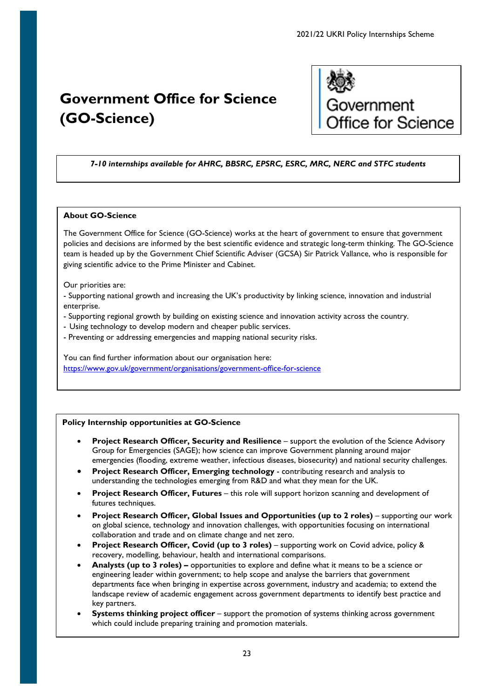# <span id="page-22-0"></span>**Government Office for Science (GO-Science)**



# *7-10 internships available for AHRC, BBSRC, EPSRC, ESRC, MRC, NERC and STFC students*

# **About GO-Science**

The Government Office for Science (GO-Science) works at the heart of government to ensure that government policies and decisions are informed by the best scientific evidence and strategic long-term thinking. The GO-Science team is headed up by the Government Chief Scientific Adviser (GCSA) Sir Patrick Vallance, who is responsible for giving scientific advice to the Prime Minister and Cabinet.

Our priorities are:

- Supporting national growth and increasing the UK's productivity by linking science, innovation and industrial enterprise.

- Supporting regional growth by building on existing science and innovation activity across the country.
- Using technology to develop modern and cheaper public services.
- Preventing or addressing emergencies and mapping national security risks.

You can find further information about our organisation here: <https://www.gov.uk/government/organisations/government-office-for-science>

# **Policy Internship opportunities at GO-Science**

- **Project Research Officer, Security and Resilience** support the evolution of the Science Advisory Group for Emergencies (SAGE); how science can improve Government planning around major emergencies (flooding, extreme weather, infectious diseases, biosecurity) and national security challenges.
- **Project Research Officer, Emerging technology** contributing research and analysis to understanding the technologies emerging from R&D and what they mean for the UK.
- **Project Research Officer, Futures**  this role will support horizon scanning and development of futures techniques.
- **Project Research Officer, Global Issues and Opportunities (up to 2 roles)** supporting our work on global science, technology and innovation challenges, with opportunities focusing on international collaboration and trade and on climate change and net zero.
- **Project Research Officer, Covid (up to 3 roles)**  supporting work on Covid advice, policy & recovery, modelling, behaviour, health and international comparisons.
- **Analysts (up to 3 roles) –** opportunities to explore and define what it means to be a science or engineering leader within government; to help scope and analyse the barriers that government departments face when bringing in expertise across government, industry and academia; to extend the landscape review of academic engagement across government departments to identify best practice and key partners.
- **Systems thinking project officer** support the promotion of systems thinking across government which could include preparing training and promotion materials.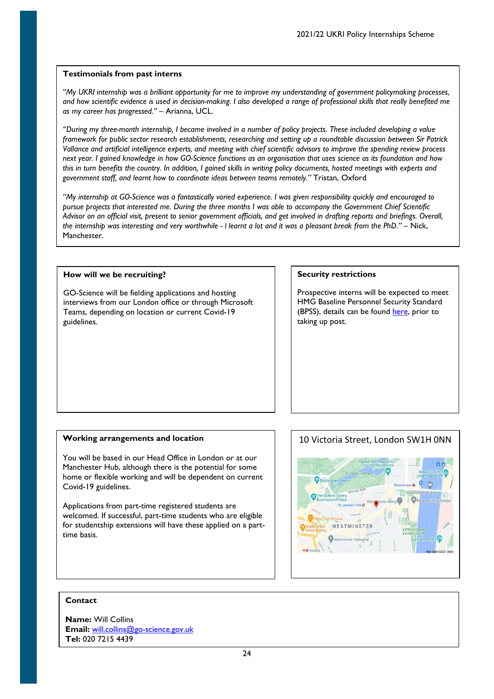*"My UKRI internship was a brilliant opportunity for me to improve my understanding of government policymaking processes, and how scientific evidence is used in decision-making. I also developed a range of professional skills that really benefited me as my career has progressed."* – Arianna, UCL.

"*During my three-month internship, I became involved in a number of policy projects. These included developing a value framework for public sector research establishments, researching and setting up a roundtable discussion between Sir Patrick Vallance and artificial intelligence experts, and meeting with chief scientific advisors to improve the spending review process next year. I gained knowledge in how GO-Science functions as an organisation that uses science as its foundation and how this in turn benefits the country. In addition, I gained skills in writing policy documents, hosted meetings with experts and government staff, and learnt how to coordinate ideas between teams remotely."* Tristan, Oxford

*"My internship at GO-Science was a fantastically varied experience. I was given responsibility quickly and encouraged to pursue projects that interested me. During the three months I was able to accompany the Government Chief Scientific Advisor on an official visit, present to senior government officials, and get involved in drafting reports and briefings. Overall, the internship was interesting and very worthwhile - I learnt a lot and it was a pleasant break from the PhD."* – Nick, Manchester.

## **How will we be recruiting?**

GO-Science will be fielding applications and hosting interviews from our London office or through Microsoft Teams, depending on location or current Covid-19 guidelines.

#### **Security restrictions**

Prospective interns will be expected to meet HMG Baseline Personnel Security Standard (BPSS), details can be found [here,](https://www.gov.uk/government/publications/government-baseline-personnel-security-standard) prior to taking up post.

## **Working arrangements and location**

You will be based in our Head Office in London or at our Manchester Hub, although there is the potential for some home or flexible working and will be dependent on current Covid-19 guidelines.

Applications from part-time registered students are welcomed. If successful, part-time students who are eligible for studentship extensions will have these applied on a parttime basis.



## **Contact**

**Name:** Will Collins **Email:** [will.collins@go-science.gov.uk](mailto:will.collins@go-science.gov.uk) **Tel:** 020 7215 4439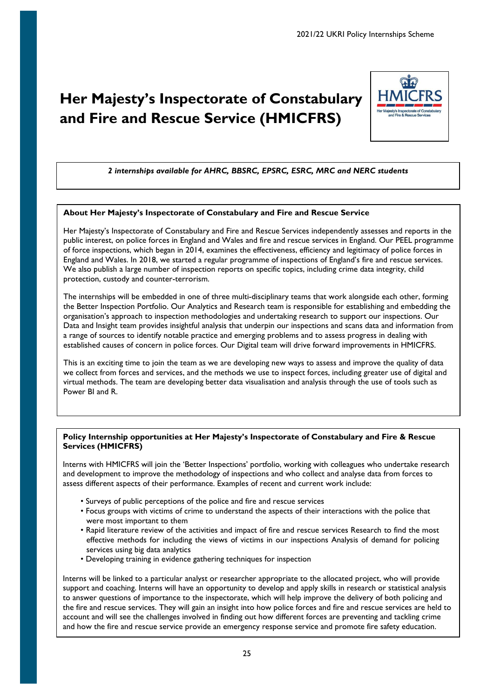# <span id="page-24-0"></span>**Her Majesty's Inspectorate of Constabulary and Fire and Rescue Service (HMICFRS)**



# *2 internships available for AHRC, BBSRC, EPSRC, ESRC, MRC and NERC students*

## **About Her Majesty's Inspectorate of Constabulary and Fire and Rescue Service**

Her Majesty's Inspectorate of Constabulary and Fire and Rescue Services independently assesses and reports in the public interest, on police forces in England and Wales and fire and rescue services in England. Our PEEL programme of force inspections, which began in 2014, examines the effectiveness, efficiency and legitimacy of police forces in England and Wales. In 2018, we started a regular programme of inspections of England's fire and rescue services. We also publish a large number of inspection reports on specific topics, including crime data integrity, child protection, custody and counter-terrorism.

The internships will be embedded in one of three multi-disciplinary teams that work alongside each other, forming the Better Inspection Portfolio. Our Analytics and Research team is responsible for establishing and embedding the organisation's approach to inspection methodologies and undertaking research to support our inspections. Our Data and Insight team provides insightful analysis that underpin our inspections and scans data and information from a range of sources to identify notable practice and emerging problems and to assess progress in dealing with established causes of concern in police forces. Our Digital team will drive forward improvements in HMICFRS.

This is an exciting time to join the team as we are developing new ways to assess and improve the quality of data we collect from forces and services, and the methods we use to inspect forces, including greater use of digital and virtual methods. The team are developing better data visualisation and analysis through the use of tools such as Power BI and R.

# **Policy Internship opportunities at Her Majesty's Inspectorate of Constabulary and Fire & Rescue Services (HMICFRS)**

Interns with HMICFRS will join the 'Better Inspections' portfolio, working with colleagues who undertake research and development to improve the methodology of inspections and who collect and analyse data from forces to assess different aspects of their performance. Examples of recent and current work include:

- Surveys of public perceptions of the police and fire and rescue services
- Focus groups with victims of crime to understand the aspects of their interactions with the police that were most important to them
- Rapid literature review of the activities and impact of fire and rescue services Research to find the most effective methods for including the views of victims in our inspections Analysis of demand for policing services using big data analytics
- Developing training in evidence gathering techniques for inspection

Interns will be linked to a particular analyst or researcher appropriate to the allocated project, who will provide support and coaching. Interns will have an opportunity to develop and apply skills in research or statistical analysis to answer questions of importance to the inspectorate, which will help improve the delivery of both policing and the fire and rescue services. They will gain an insight into how police forces and fire and rescue services are held to account and will see the challenges involved in finding out how different forces are preventing and tackling crime and how the fire and rescue service provide an emergency response service and promote fire safety education.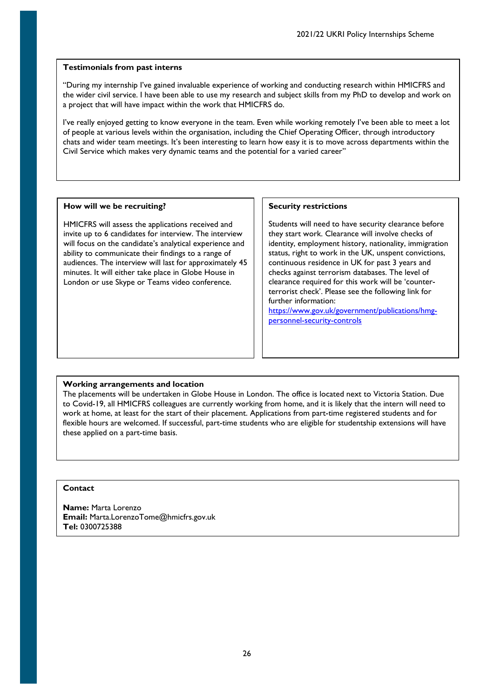"During my internship I've gained invaluable experience of working and conducting research within HMICFRS and the wider civil service. I have been able to use my research and subject skills from my PhD to develop and work on a project that will have impact within the work that HMICFRS do.

I've really enjoyed getting to know everyone in the team. Even while working remotely I've been able to meet a lot of people at various levels within the organisation, including the Chief Operating Officer, through introductory chats and wider team meetings. It's been interesting to learn how easy it is to move across departments within the Civil Service which makes very dynamic teams and the potential for a varied career"

## **How will we be recruiting?**

HMICFRS will assess the applications received and invite up to 6 candidates for interview. The interview will focus on the candidate's analytical experience and ability to communicate their findings to a range of audiences. The interview will last for approximately 45 minutes. It will either take place in Globe House in London or use Skype or Teams video conference.

## **Security restrictions**

Students will need to have security clearance before they start work. Clearance will involve checks of identity, employment history, nationality, immigration status, right to work in the UK, unspent convictions, continuous residence in UK for past 3 years and checks against terrorism databases. The level of clearance required for this work will be 'counterterrorist check'. Please see the following link for further information:

[https://www.gov.uk/government/publications/hmg](https://www.gov.uk/government/publications/hmg-personnel-security-controls)[personnel-security-controls](https://www.gov.uk/government/publications/hmg-personnel-security-controls)

## **Working arrangements and location**

The placements will be undertaken in Globe House in London. The office is located next to Victoria Station. Due to Covid-19, all HMICFRS colleagues are currently working from home, and it is likely that the intern will need to work at home, at least for the start of their placement. Applications from part-time registered students and for flexible hours are welcomed. If successful, part-time students who are eligible for studentship extensions will have these applied on a part-time basis.

## **Contact**

**Name:** Marta Lorenzo **Email:** Marta.LorenzoTome@hmicfrs.gov.uk **Tel:** 0300725388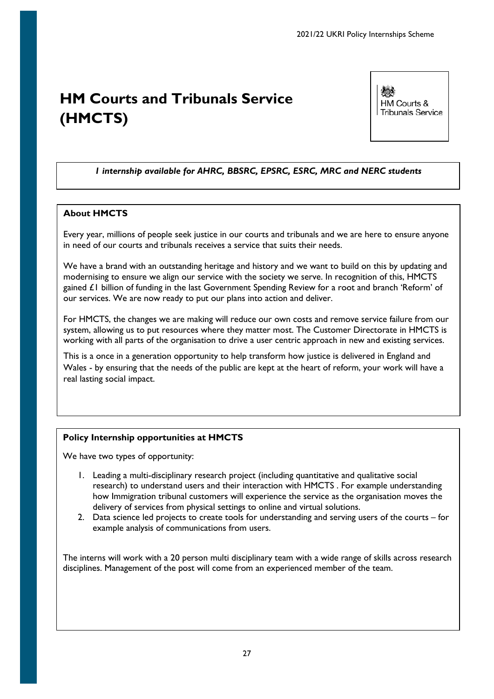# <span id="page-26-0"></span>**HM Courts and Tribunals Service (HMCTS)**

微熱 HM Courts & **Tribunals Service** 

# *1 internship available for AHRC, BBSRC, EPSRC, ESRC, MRC and NERC students*

# **About HMCTS**

Every year, millions of people seek justice in our courts and tribunals and we are here to ensure anyone in need of our courts and tribunals receives a service that suits their needs.

We have a brand with an outstanding heritage and history and we want to build on this by updating and modernising to ensure we align our service with the society we serve. In recognition of this, HMCTS gained £1 billion of funding in the last Government Spending Review for a root and branch 'Reform' of our services. We are now ready to put our plans into action and deliver.

For HMCTS, the changes we are making will reduce our own costs and remove service failure from our system, allowing us to put resources where they matter most. The Customer Directorate in HMCTS is working with all parts of the organisation to drive a user centric approach in new and existing services.

This is a once in a generation opportunity to help transform how justice is delivered in England and Wales - by ensuring that the needs of the public are kept at the heart of reform, your work will have a real lasting social impact.

# **Policy Internship opportunities at HMCTS**

We have two types of opportunity:

- 1. Leading a multi-disciplinary research project (including quantitative and qualitative social research) to understand users and their interaction with HMCTS . For example understanding how Immigration tribunal customers will experience the service as the organisation moves the delivery of services from physical settings to online and virtual solutions.
- 2. Data science led projects to create tools for understanding and serving users of the courts for example analysis of communications from users.

The interns will work with a 20 person multi disciplinary team with a wide range of skills across research disciplines. Management of the post will come from an experienced member of the team.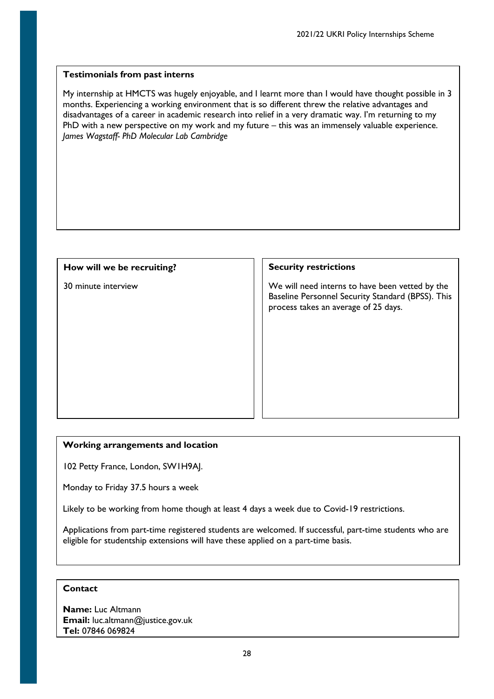My internship at HMCTS was hugely enjoyable, and I learnt more than I would have thought possible in 3 months. Experiencing a working environment that is so different threw the relative advantages and disadvantages of a career in academic research into relief in a very dramatic way. I'm returning to my PhD with a new perspective on my work and my future – this was an immensely valuable experience. *James Wagstaff- PhD Molecular Lab Cambridge*

# **How will we be recruiting?**

30 minute interview

# **Security restrictions**

We will need interns to have been vetted by the Baseline Personnel Security Standard (BPSS). This process takes an average of 25 days.

# **Working arrangements and location**

102 Petty France, London, SW1H9AJ.

Monday to Friday 37.5 hours a week

Likely to be working from home though at least 4 days a week due to Covid-19 restrictions.

Applications from part-time registered students are welcomed. If successful, part-time students who are eligible for studentship extensions will have these applied on a part-time basis.

# **Contact**

**Name:** Luc Altmann **Email:** luc.altmann@justice.gov.uk **Tel:** 07846 069824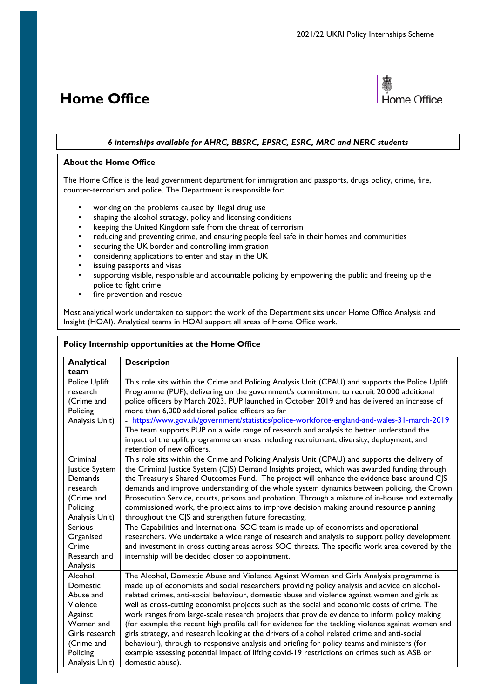# <span id="page-28-0"></span>**Home Office**



## *6 internships available for AHRC, BBSRC, EPSRC, ESRC, MRC and NERC students*

## **About the Home Office**

The Home Office is the lead government department for immigration and passports, drugs policy, crime, fire, counter-terrorism and police. The Department is responsible for:

- working on the problems caused by illegal drug use
- shaping the alcohol strategy, policy and licensing conditions
- keeping the United Kingdom safe from the threat of terrorism
- reducing and preventing crime, and ensuring people feel safe in their homes and communities
- securing the UK border and controlling immigration
- considering applications to enter and stay in the UK
- issuing passports and visas
- supporting visible, responsible and accountable policing by empowering the public and freeing up the police to fight crime
- fire prevention and rescue

Most analytical work undertaken to support the work of the Department sits under Home Office Analysis and Insight (HOAI). Analytical teams in HOAI support all areas of Home Office work.

| Policy Internship opportunities at the Home Office                                                                                  |                                                                                                                                                                                                                                                                                                                                                                                                                                                                                                                                                                                                                                                                                                                                                                                                                                                                                                                   |  |
|-------------------------------------------------------------------------------------------------------------------------------------|-------------------------------------------------------------------------------------------------------------------------------------------------------------------------------------------------------------------------------------------------------------------------------------------------------------------------------------------------------------------------------------------------------------------------------------------------------------------------------------------------------------------------------------------------------------------------------------------------------------------------------------------------------------------------------------------------------------------------------------------------------------------------------------------------------------------------------------------------------------------------------------------------------------------|--|
| Analytical<br>team                                                                                                                  | <b>Description</b>                                                                                                                                                                                                                                                                                                                                                                                                                                                                                                                                                                                                                                                                                                                                                                                                                                                                                                |  |
| Police Uplift<br>research<br>(Crime and<br>Policing<br>Analysis Unit)                                                               | This role sits within the Crime and Policing Analysis Unit (CPAU) and supports the Police Uplift<br>Programme (PUP), delivering on the government's commitment to recruit 20,000 additional<br>police officers by March 2023. PUP launched in October 2019 and has delivered an increase of<br>more than 6,000 additional police officers so far<br>- https://www.gov.uk/government/statistics/police-workforce-england-and-wales-31-march-2019<br>The team supports PUP on a wide range of research and analysis to better understand the<br>impact of the uplift programme on areas including recruitment, diversity, deployment, and<br>retention of new officers.                                                                                                                                                                                                                                             |  |
| Criminal<br>Justice System<br>Demands<br>research<br>(Crime and<br>Policing<br>Analysis Unit)<br><b>Serious</b>                     | This role sits within the Crime and Policing Analysis Unit (CPAU) and supports the delivery of<br>the Criminal Justice System (CJS) Demand Insights project, which was awarded funding through<br>the Treasury's Shared Outcomes Fund. The project will enhance the evidence base around CJS<br>demands and improve understanding of the whole system dynamics between policing, the Crown<br>Prosecution Service, courts, prisons and probation. Through a mixture of in-house and externally<br>commissioned work, the project aims to improve decision making around resource planning<br>throughout the CJS and strengthen future forecasting.<br>The Capabilities and International SOC team is made up of economists and operational                                                                                                                                                                        |  |
| Organised<br>Crime<br>Research and<br>Analysis                                                                                      | researchers. We undertake a wide range of research and analysis to support policy development<br>and investment in cross cutting areas across SOC threats. The specific work area covered by the<br>internship will be decided closer to appointment.                                                                                                                                                                                                                                                                                                                                                                                                                                                                                                                                                                                                                                                             |  |
| Alcohol,<br>Domestic<br>Abuse and<br>Violence<br>Against<br>Women and<br>Girls research<br>(Crime and<br>Policing<br>Analysis Unit) | The Alcohol, Domestic Abuse and Violence Against Women and Girls Analysis programme is<br>made up of economists and social researchers providing policy analysis and advice on alcohol-<br>related crimes, anti-social behaviour, domestic abuse and violence against women and girls as<br>well as cross-cutting economist projects such as the social and economic costs of crime. The<br>work ranges from large-scale research projects that provide evidence to inform policy making<br>(for example the recent high profile call for evidence for the tackling violence against women and<br>girls strategy, and research looking at the drivers of alcohol related crime and anti-social<br>behaviour), through to responsive analysis and briefing for policy teams and ministers (for<br>example assessing potential impact of lifting covid-19 restrictions on crimes such as ASB or<br>domestic abuse). |  |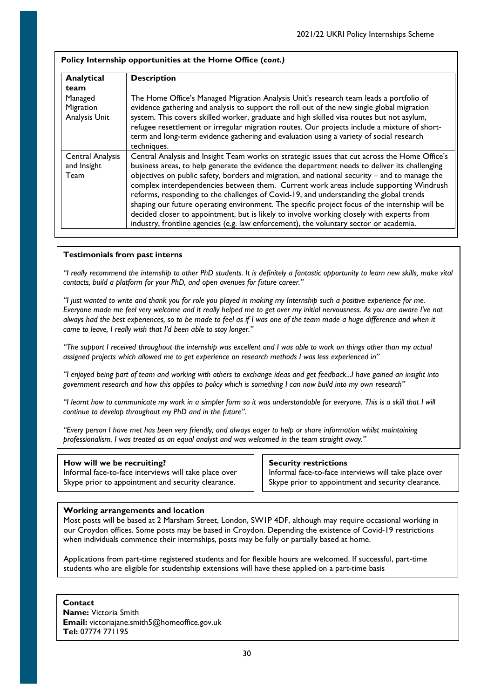| Analytical<br>team                             | <b>Description</b>                                                                                                                                                                                                                                                                                                                                                                                                                                                                                                                                                                                                                                                                                                                                                           |
|------------------------------------------------|------------------------------------------------------------------------------------------------------------------------------------------------------------------------------------------------------------------------------------------------------------------------------------------------------------------------------------------------------------------------------------------------------------------------------------------------------------------------------------------------------------------------------------------------------------------------------------------------------------------------------------------------------------------------------------------------------------------------------------------------------------------------------|
| Managed<br>Migration<br>Analysis Unit          | The Home Office's Managed Migration Analysis Unit's research team leads a portfolio of<br>evidence gathering and analysis to support the roll out of the new single global migration<br>system. This covers skilled worker, graduate and high skilled visa routes but not asylum,<br>refugee resettlement or irregular migration routes. Our projects include a mixture of short-<br>term and long-term evidence gathering and evaluation using a variety of social research<br>techniques.                                                                                                                                                                                                                                                                                  |
| <b>Central Analysis</b><br>and Insight<br>Team | Central Analysis and Insight Team works on strategic issues that cut across the Home Office's<br>business areas, to help generate the evidence the department needs to deliver its challenging<br>objectives on public safety, borders and migration, and national security - and to manage the<br>complex interdependencies between them. Current work areas include supporting Windrush<br>reforms, responding to the challenges of Covid-19, and understanding the global trends<br>shaping our future operating environment. The specific project focus of the internship will be<br>decided closer to appointment, but is likely to involve working closely with experts from<br>industry, frontline agencies (e.g. law enforcement), the voluntary sector or academia. |

*"I really recommend the internship to other PhD students. It is definitely a fantastic opportunity to learn new skills, make vital contacts, build a platform for your PhD, and open avenues for future career."* 

*"I just wanted to write and thank you for role you played in making my Internship such a positive experience for me. Everyone made me feel very welcome and it really helped me to get over my initial nervousness. As you are aware I've not always had the best experiences, so to be made to feel as if I was one of the team made a huge difference and when it came to leave, I really wish that I'd been able to stay longer."* 

*"The support I received throughout the internship was excellent and I was able to work on things other than my actual assigned projects which allowed me to get experience on research methods I was less experienced in"* 

*"I enjoyed being part of team and working with others to exchange ideas and get feedback...I have gained an insight into government research and how this applies to policy which is something I can now build into my own research"* 

*"I learnt how to communicate my work in a simpler form so it was understandable for everyone. This is a skill that I will continue to develop throughout my PhD and in the future".* 

*"Every person I have met has been very friendly, and always eager to help or share information whilst maintaining professionalism. I was treated as an equal analyst and was welcomed in the team straight away."*

## **How will we be recruiting?**

Informal face-to-face interviews will take place over Skype prior to appointment and security clearance.

#### **Security restrictions**

Informal face-to-face interviews will take place over Skype prior to appointment and security clearance.

## **Working arrangements and location**

Most posts will be based at 2 Marsham Street, London, SW1P 4DF, although may require occasional working in our Croydon offices. Some posts may be based in Croydon. Depending the existence of Covid-19 restrictions when individuals commence their internships, posts may be fully or partially based at home.

Applications from part-time registered students and for flexible hours are welcomed. If successful, part-time students who are eligible for studentship extensions will have these applied on a part-time basis

**Contact Name:** Victoria Smith **Email:** victoriajane.smith5@homeoffice.gov.uk **Tel:** 07774 771195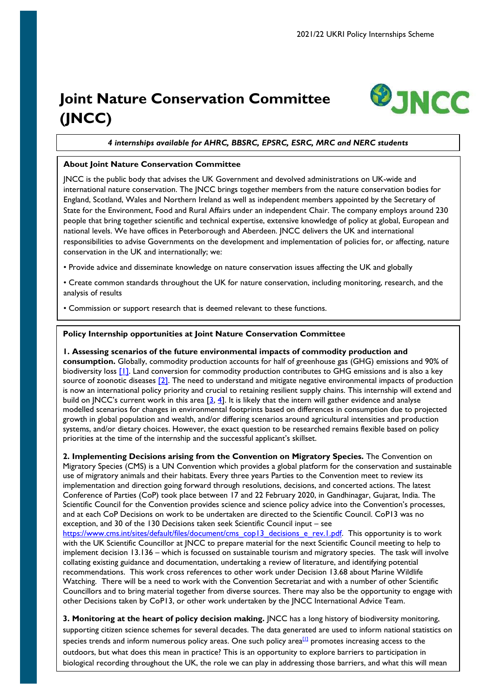# <span id="page-30-0"></span>**Joint Nature Conservation Committee (JNCC)**



*4 internships available for AHRC, BBSRC, EPSRC, ESRC, MRC and NERC students*

## **About Joint Nature Conservation Committee**

JNCC is the public body that advises the UK Government and devolved administrations on UK-wide and international nature conservation. The JNCC brings together members from the nature conservation bodies for England, Scotland, Wales and Northern Ireland as well as independent members appointed by the Secretary of State for the Environment, Food and Rural Affairs under an independent Chair. The company employs around 230 people that bring together scientific and technical expertise, extensive knowledge of policy at global, European and national levels. We have offices in Peterborough and Aberdeen. JNCC delivers the UK and international responsibilities to advise Governments on the development and implementation of policies for, or affecting, nature conservation in the UK and internationally; we:

• Provide advice and disseminate knowledge on nature conservation issues affecting the UK and globally

• Create common standards throughout the UK for nature conservation, including monitoring, research, and the analysis of results

• Commission or support research that is deemed relevant to these functions.

## **Policy Internship opportunities at Joint Nature Conservation Committee**

**1. Assessing scenarios of the future environmental impacts of commodity production and consumption.** Globally, commodity production accounts for half of greenhouse gas (GHG) emissions and 90% of biodiversity loss [\[1\].](https://www.resourcepanel.org/reports/global-resources-outlook) Land conversion for commodity production contributes to GHG emissions and is also a key source of zoonotic diseases [\[2\].](https://onlinelibrary.wiley.com/doi/pdf/10.1111/mam.12201) The need to understand and mitigate negative environmental impacts of production is now an international policy priority and crucial to retaining resilient supply chains. This internship will extend and build on JNCC's current work in this area  $[3, 4]$  $[3, 4]$ . It is likely that the intern will gather evidence and analyse modelled scenarios for changes in environmental footprints based on differences in consumption due to projected growth in global population and wealth, and/or differing scenarios around agricultural intensities and production systems, and/or dietary choices. However, the exact question to be researched remains flexible based on policy priorities at the time of the internship and the successful applicant's skillset.

**2. Implementing Decisions arising from the Convention on Migratory Species.** The Convention on Migratory Species (CMS) is a UN Convention which provides a global platform for the conservation and sustainable use of migratory animals and their habitats. Every three years Parties to the Convention meet to review its implementation and direction going forward through resolutions, decisions, and concerted actions. The latest Conference of Parties (CoP) took place between 17 and 22 February 2020, in Gandhinagar, Gujarat, India. The Scientific Council for the Convention provides science and science policy advice into the Convention's processes, and at each CoP Decisions on work to be undertaken are directed to the Scientific Council. CoP13 was no exception, and 30 of the 130 Decisions taken seek Scientific Council input – see [https://www.cms.int/sites/default/files/document/cms\\_cop13\\_decisions\\_e\\_rev.1.pdf.](https://www.cms.int/sites/default/files/document/cms_cop13_decisions_e_rev.1.pdf) This opportunity is to work with the UK Scientific Councillor at JNCC to prepare material for the next Scientific Council meeting to help to

implement decision 13.136 – which is focussed on sustainable tourism and migratory species. The task will involve collating existing guidance and documentation, undertaking a review of literature, and identifying potential recommendations. This work cross references to other work under Decision 13.68 about Marine Wildlife Watching. There will be a need to work with the Convention Secretariat and with a number of other Scientific Councillors and to bring material together from diverse sources. There may also be the opportunity to engage with other Decisions taken by CoP13, or other work undertaken by the JNCC International Advice Team.

31 outdoors, but what does this mean in practice? This is an opportunity to explore barriers to participation in **3. Monitoring at the heart of policy decision making.** JNCC has a long history of biodiversity monitoring, supporting citizen science schemes for several decades. The data generated are used to inform national statistics on species trends and inform numerous policy areas. One such policy  $area^{[1]}$  promotes increasing access to the biological recording throughout the UK, the role we can play in addressing those barriers, and what this will mean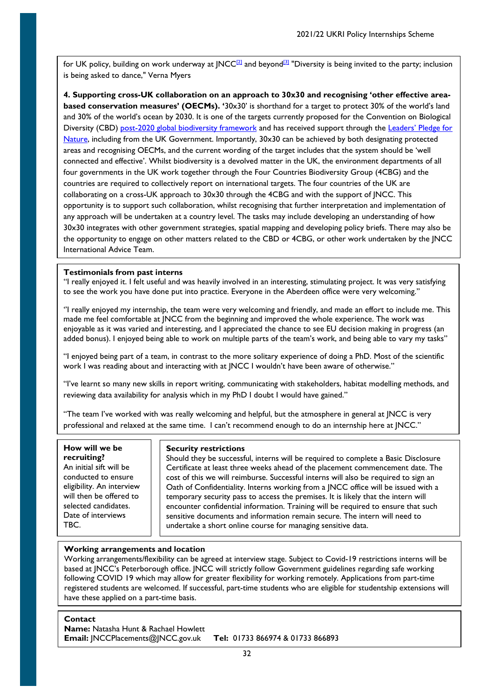for UK policy, building on work underway at JNCC $^{[2]}$  and beyond $^{[3]}$  "Diversity is being invited to the party; inclusion is being asked to dance," Verna Myers

**4. Supporting cross-UK collaboration on an approach to 30x30 and recognising 'other effective areabased conservation measures' (OECMs). '**30x30' is shorthand for a target to protect 30% of the world's land and 30% of the world's ocean by 2030. It is one of the targets currently proposed for the Convention on Biological Diversity (CBD) [post-2020 global biodiversity framework](https://www.cbd.int/conferences/post2020) and has received support through the Leaders' Pledge for [Nature,](https://www.leaderspledgefornature.org/) including from the UK Government. Importantly, 30x30 can be achieved by both designating protected areas and recognising OECMs, and the current wording of the target includes that the system should be 'well connected and effective'. Whilst biodiversity is a devolved matter in the UK, the environment departments of all four governments in the UK work together through the Four Countries Biodiversity Group (4CBG) and the countries are required to collectively report on international targets. The four countries of the UK are collaborating on a cross-UK approach to 30x30 through the 4CBG and with the support of JNCC. This opportunity is to support such collaboration, whilst recognising that further interpretation and implementation of any approach will be undertaken at a country level. The tasks may include developing an understanding of how 30x30 integrates with other government strategies, spatial mapping and developing policy briefs. There may also be the opportunity to engage on other matters related to the CBD or 4CBG, or other work undertaken by the JNCC International Advice Team.

## **Testimonials from past interns**

''I really enjoyed it. I felt useful and was heavily involved in an interesting, stimulating project. It was very satisfying to see the work you have done put into practice. Everyone in the Aberdeen office were very welcoming.''

''I really enjoyed my internship, the team were very welcoming and friendly, and made an effort to include me. This made me feel comfortable at JNCC from the beginning and improved the whole experience. The work was enjoyable as it was varied and interesting, and I appreciated the chance to see EU decision making in progress (an added bonus). I enjoyed being able to work on multiple parts of the team's work, and being able to vary my tasks''

"I enjoyed being part of a team, in contrast to the more solitary experience of doing a PhD. Most of the scientific work I was reading about and interacting with at JNCC I wouldn't have been aware of otherwise."

"I've learnt so many new skills in report writing, communicating with stakeholders, habitat modelling methods, and reviewing data availability for analysis which in my PhD I doubt I would have gained."

"The team I've worked with was really welcoming and helpful, but the atmosphere in general at JNCC is very professional and relaxed at the same time. I can't recommend enough to do an internship here at JNCC."

#### **How will we be recruiting?**

An initial sift will be conducted to ensure eligibility. An interview will then be offered to selected candidates. Date of interviews TBC.

## **Security restrictions**

Should they be successful, interns will be required to complete a Basic Disclosure Certificate at least three weeks ahead of the placement commencement date. The cost of this we will reimburse. Successful interns will also be required to sign an Oath of Confidentiality. Interns working from a JNCC office will be issued with a temporary security pass to access the premises. It is likely that the intern will encounter confidential information. Training will be required to ensure that such sensitive documents and information remain secure. The intern will need to undertake a short online course for managing sensitive data.

# **Working arrangements and location**

Working arrangements/flexibility can be agreed at interview stage. Subject to Covid-19 restrictions interns will be based at JNCC's Peterborough office. JNCC will strictly follow Government guidelines regarding safe working following COVID 19 which may allow for greater flexibility for working remotely. Applications from part-time registered students are welcomed. If successful, part-time students who are eligible for studentship extensions will have these applied on a part-time basis.

## **Contact**

**Name:** Natasha Hunt & Rachael Howlett **Email:** JNCCPlacements@JNCC.gov.uk **Tel:** 01733 866974 & 01733 866893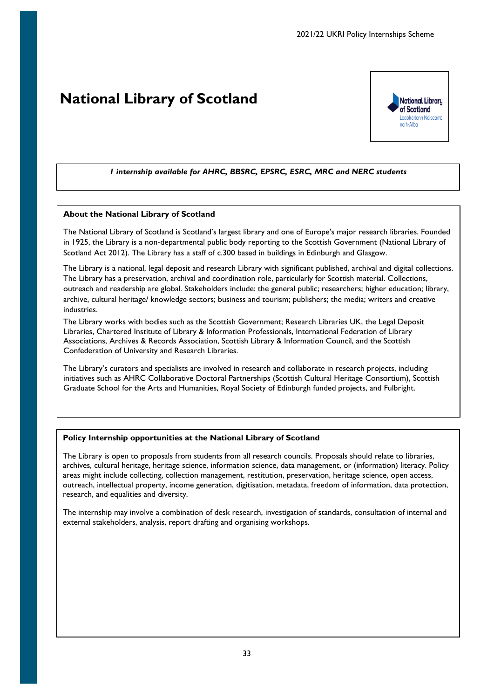# <span id="page-32-0"></span>**National Library of Scotland**



# *1 internship available for AHRC, BBSRC, EPSRC, ESRC, MRC and NERC students*

## **About the National Library of Scotland**

The National Library of Scotland is Scotland's largest library and one of Europe's major research libraries. Founded in 1925, the Library is a non-departmental public body reporting to the Scottish Government (National Library of Scotland Act 2012). The Library has a staff of c.300 based in buildings in Edinburgh and Glasgow.

The Library is a national, legal deposit and research Library with significant published, archival and digital collections. The Library has a preservation, archival and coordination role, particularly for Scottish material. Collections, outreach and readership are global. Stakeholders include: the general public; researchers; higher education; library, archive, cultural heritage/ knowledge sectors; business and tourism; publishers; the media; writers and creative industries.

The Library works with bodies such as the Scottish Government; Research Libraries UK, the Legal Deposit Libraries, Chartered Institute of Library & Information Professionals, International Federation of Library Associations, Archives & Records Association, Scottish Library & Information Council, and the Scottish Confederation of University and Research Libraries.

The Library's curators and specialists are involved in research and collaborate in research projects, including initiatives such as AHRC Collaborative Doctoral Partnerships (Scottish Cultural Heritage Consortium), Scottish Graduate School for the Arts and Humanities, Royal Society of Edinburgh funded projects, and Fulbright.

## **Policy Internship opportunities at the National Library of Scotland**

The Library is open to proposals from students from all research councils. Proposals should relate to libraries, archives, cultural heritage, heritage science, information science, data management, or (information) literacy. Policy areas might include collecting, collection management, restitution, preservation, heritage science, open access, outreach, intellectual property, income generation, digitisation, metadata, freedom of information, data protection, research, and equalities and diversity.

The internship may involve a combination of desk research, investigation of standards, consultation of internal and external stakeholders, analysis, report drafting and organising workshops.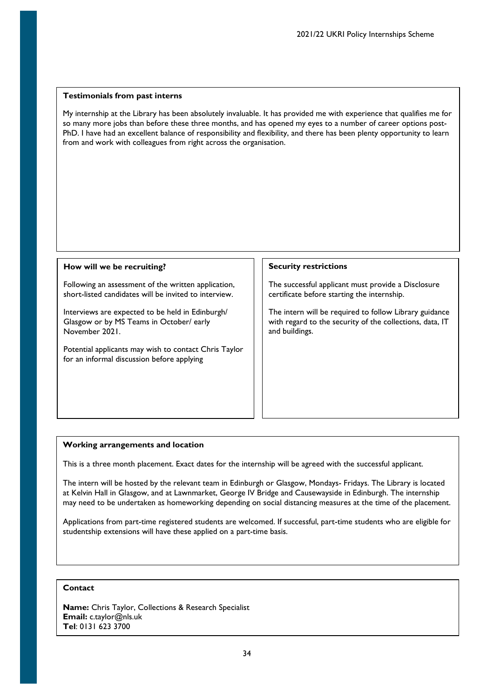My internship at the Library has been absolutely invaluable. It has provided me with experience that qualifies me for so many more jobs than before these three months, and has opened my eyes to a number of career options post-PhD. I have had an excellent balance of responsibility and flexibility, and there has been plenty opportunity to learn from and work with colleagues from right across the organisation.

#### **How will we be recruiting?**

Following an assessment of the written application, short-listed candidates will be invited to interview.

Interviews are expected to be held in Edinburgh/ Glasgow or by MS Teams in October/ early November 2021.

Potential applicants may wish to contact Chris Taylor for an informal discussion before applying

#### **Security restrictions**

The successful applicant must provide a Disclosure certificate before starting the internship.

The intern will be required to follow Library guidance with regard to the security of the collections, data, IT and buildings.

#### **Working arrangements and location**

This is a three month placement. Exact dates for the internship will be agreed with the successful applicant.

The intern will be hosted by the relevant team in Edinburgh or Glasgow, Mondays- Fridays. The Library is located at Kelvin Hall in Glasgow, and at Lawnmarket, George IV Bridge and Causewayside in Edinburgh. The internship may need to be undertaken as homeworking depending on social distancing measures at the time of the placement.

Applications from part-time registered students are welcomed. If successful, part-time students who are eligible for studentship extensions will have these applied on a part-time basis.

# **Contact**

**Name:** Chris Taylor, Collections & Research Specialist **Email:** c.taylor@nls.uk **Tel**: 0131 623 3700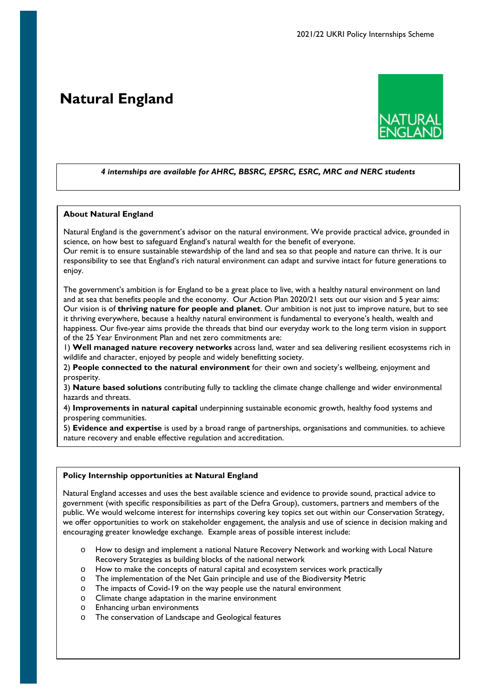# <span id="page-34-0"></span>**Natural England**



## *4 internships are available for AHRC, BBSRC, EPSRC, ESRC, MRC and NERC students*

#### **About Natural England**

Natural England is the government's advisor on the natural environment. We provide practical advice, grounded in science, on how best to safeguard England's natural wealth for the benefit of everyone.

Our remit is to ensure sustainable stewardship of the land and sea so that people and nature can thrive. It is our responsibility to see that England's rich natural environment can adapt and survive intact for future generations to enjoy.

The government's ambition is for England to be a great place to live, with a healthy natural environment on land and at sea that benefits people and the economy. Our Action Plan 2020/21 sets out our vision and 5 year aims: Our vision is of **thriving nature for people and planet**. Our ambition is not just to improve nature, but to see it thriving everywhere, because a healthy natural environment is fundamental to everyone's health, wealth and happiness. Our five-year aims provide the threads that bind our everyday work to the long term vision in support of the 25 Year Environment Plan and net zero commitments are:

1) **Well managed nature recovery networks** across land, water and sea delivering resilient ecosystems rich in wildlife and character, enjoyed by people and widely benefitting society.

2) **People connected to the natural environment** for their own and society's wellbeing, enjoyment and prosperity.

3) **Nature based solutions** contributing fully to tackling the climate change challenge and wider environmental hazards and threats.

4) **Improvements in natural capital** underpinning sustainable economic growth, healthy food systems and prospering communities.

5) **Evidence and expertise** is used by a broad range of partnerships, organisations and communities. to achieve nature recovery and enable effective regulation and accreditation.

#### **Policy Internship opportunities at Natural England**

Natural England accesses and uses the best available science and evidence to provide sound, practical advice to government (with specific responsibilities as part of the Defra Group), customers, partners and members of the public. We would welcome interest for internships covering key topics set out within our Conservation Strategy, we offer opportunities to work on stakeholder engagement, the analysis and use of science in decision making and encouraging greater knowledge exchange. Example areas of possible interest include:

- o How to design and implement a national Nature Recovery Network and working with Local Nature Recovery Strategies as building blocks of the national network
- o How to make the concepts of natural capital and ecosystem services work practically
- o The implementation of the Net Gain principle and use of the Biodiversity Metric
- o The impacts of Covid-19 on the way people use the natural environment
- o Climate change adaptation in the marine environment
- o Enhancing urban environments
- o The conservation of Landscape and Geological features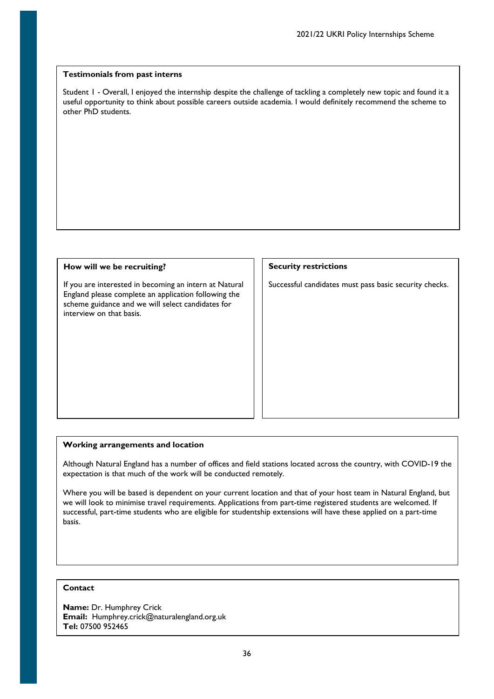Student 1 - Overall, I enjoyed the internship despite the challenge of tackling a completely new topic and found it a useful opportunity to think about possible careers outside academia. I would definitely recommend the scheme to other PhD students.

### **How will we be recruiting?**

If you are interested in becoming an intern at Natural England please complete an application following the scheme guidance and we will select candidates for interview on that basis.

### **Security restrictions**

Successful candidates must pass basic security checks.

#### **Working arrangements and location**

Although Natural England has a number of offices and field stations located across the country, with COVID-19 the expectation is that much of the work will be conducted remotely.

Where you will be based is dependent on your current location and that of your host team in Natural England, but we will look to minimise travel requirements. Applications from part-time registered students are welcomed. If successful, part-time students who are eligible for studentship extensions will have these applied on a part-time basis.

# **Contact**

**Name:** Dr. Humphrey Crick **Email:** Humphrey.crick@naturalengland.org.uk **Tel:** 07500 952465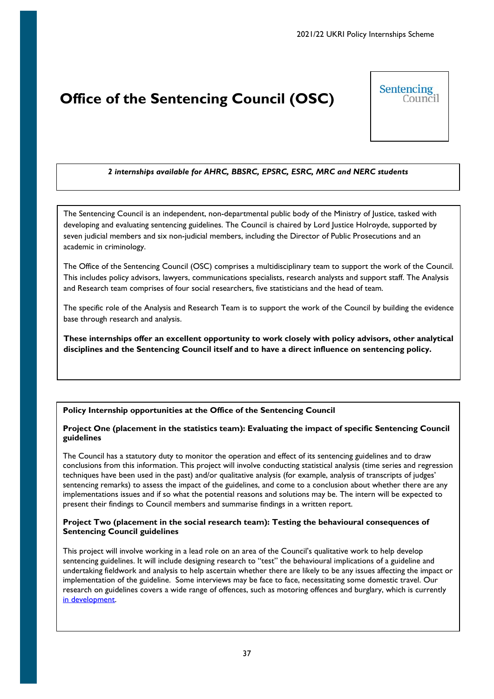# <span id="page-36-0"></span>**Office of the Sentencing Council (OSC)**



# *2 internships available for AHRC, BBSRC, EPSRC, ESRC, MRC and NERC students*

The Sentencing Council is an independent, non-departmental public body of the Ministry of Justice, tasked with developing and evaluating sentencing guidelines. The Council is chaired by Lord Justice Holroyde, supported by seven judicial members and six non-judicial members, including the Director of Public Prosecutions and an academic in criminology.

The Office of the Sentencing Council (OSC) comprises a multidisciplinary team to support the work of the Council. This includes policy advisors, lawyers, communications specialists, research analysts and support staff. The Analysis and Research team comprises of four social researchers, five statisticians and the head of team.

The specific role of the Analysis and Research Team is to support the work of the Council by building the evidence base through research and analysis.

**These internships offer an excellent opportunity to work closely with policy advisors, other analytical disciplines and the Sentencing Council itself and to have a direct influence on sentencing policy.**

# **Policy Internship opportunities at the Office of the Sentencing Council**

## **Project One (placement in the statistics team): Evaluating the impact of specific Sentencing Council guidelines**

The Council has a statutory duty to monitor the operation and effect of its sentencing guidelines and to draw conclusions from this information. This project will involve conducting statistical analysis (time series and regression techniques have been used in the past) and/or qualitative analysis (for example, analysis of transcripts of judges' sentencing remarks) to assess the impact of the guidelines, and come to a conclusion about whether there are any implementations issues and if so what the potential reasons and solutions may be. The intern will be expected to present their findings to Council members and summarise findings in a written report.

## **Project Two (placement in the social research team): Testing the behavioural consequences of Sentencing Council guidelines**

This project will involve working in a lead role on an area of the Council's qualitative work to help develop sentencing guidelines. It will include designing research to "test" the behavioural implications of a guideline and undertaking fieldwork and analysis to help ascertain whether there are likely to be any issues affecting the impact or implementation of the guideline. Some interviews may be face to face, necessitating some domestic travel. Our research on guidelines covers a wide range of offences, such as motoring offences and burglary, which is currently [in development.](https://www.sentencingcouncil.org.uk/sentencing-and-the-council/consultations/burglary-offences-guideline-consultation/)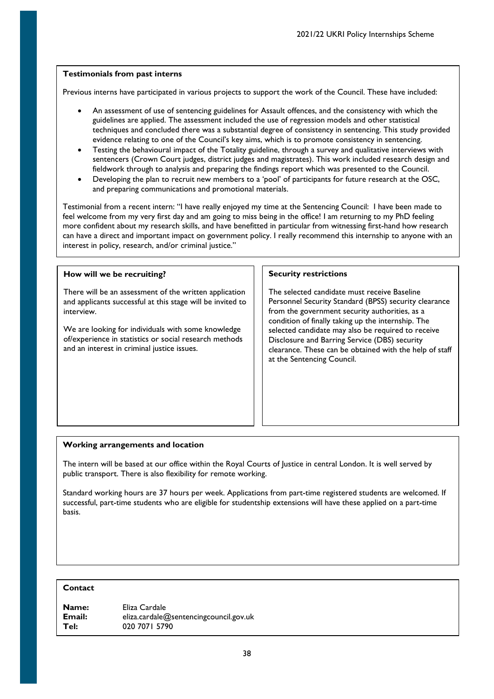Previous interns have participated in various projects to support the work of the Council. These have included:

- An assessment of use of sentencing guidelines for Assault offences, and the consistency with which the guidelines are applied. The assessment included the use of regression models and other statistical techniques and concluded there was a substantial degree of consistency in sentencing. This study provided evidence relating to one of the Council's key aims, which is to promote consistency in sentencing.
- Testing the behavioural impact of the Totality guideline, through a survey and qualitative interviews with sentencers (Crown Court judges, district judges and magistrates). This work included research design and fieldwork through to analysis and preparing the findings report which was presented to the Council.
- Developing the plan to recruit new members to a 'pool' of participants for future research at the OSC, and preparing communications and promotional materials.

Testimonial from a recent intern: "I have really enjoyed my time at the Sentencing Council: I have been made to feel welcome from my very first day and am going to miss being in the office! I am returning to my PhD feeling more confident about my research skills, and have benefitted in particular from witnessing first-hand how research can have a direct and important impact on government policy. I really recommend this internship to anyone with an interest in policy, research, and/or criminal justice."

### **How will we be recruiting?** There will be an assessment of the written application and applicants successful at this stage will be invited to interview. We are looking for individuals with some knowledge of/experience in statistics or social research methods and an interest in criminal justice issues. **Security restrictions** The selected candidate must receive Baseline Personnel Security Standard (BPSS) security clearance from the government security authorities, as a condition of finally taking up the internship. The selected candidate may also be required to receive Disclosure and Barring Service (DBS) security clearance. These can be obtained with the help of staff at the Sentencing Council.

## **Working arrangements and location**

The intern will be based at our office within the Royal Courts of Justice in central London. It is well served by public transport. There is also flexibility for remote working.

Standard working hours are 37 hours per week. Applications from part-time registered students are welcomed. If successful, part-time students who are eligible for studentship extensions will have these applied on a part-time basis.

# **Contact**

| <b>Name:</b> | Eliza Cardale                          |
|--------------|----------------------------------------|
| Email:       | eliza.cardale@sentencingcouncil.gov.uk |
| Tel:         | 020 7071 5790                          |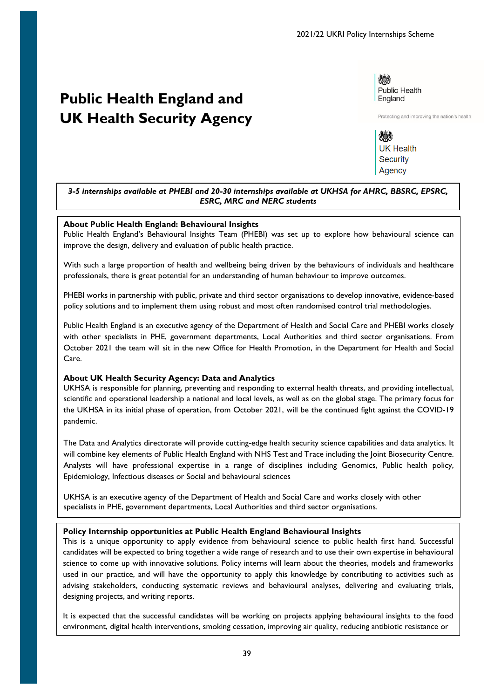# <span id="page-38-0"></span>**Public Health England and UK Health Security Agency**

燃 Public Health England

Protecting and improving the nation's health

婚 **UK Health Security** Agency

## *3-5 internships available at PHEBI and 20-30 internships available at UKHSA for AHRC, BBSRC, EPSRC, ESRC, MRC and NERC students*

## **About Public Health England: Behavioural Insights**

Public Health England's Behavioural Insights Team (PHEBI) was set up to explore how behavioural science can improve the design, delivery and evaluation of public health practice.

With such a large proportion of health and wellbeing being driven by the behaviours of individuals and healthcare professionals, there is great potential for an understanding of human behaviour to improve outcomes.

PHEBI works in partnership with public, private and third sector organisations to develop innovative, evidence-based policy solutions and to implement them using robust and most often randomised control trial methodologies.

Public Health England is an executive agency of the Department of Health and Social Care and PHEBI works closely with other specialists in PHE, government departments, Local Authorities and third sector organisations. From October 2021 the team will sit in the new Office for Health Promotion, in the Department for Health and Social Care.

## **About UK Health Security Agency: Data and Analytics**

UKHSA is responsible for planning, preventing and responding to external health threats, and providing intellectual, scientific and operational leadership a national and local levels, as well as on the global stage. The primary focus for the UKHSA in its initial phase of operation, from October 2021, will be the continued fight against the COVID-19 pandemic.

The Data and Analytics directorate will provide cutting-edge health security science capabilities and data analytics. It will combine key elements of Public Health England with NHS Test and Trace including the Joint Biosecurity Centre. Analysts will have professional expertise in a range of disciplines including Genomics, Public health policy, Epidemiology, Infectious diseases or Social and behavioural sciences

UKHSA is an executive agency of the Department of Health and Social Care and works closely with other specialists in PHE, government departments, Local Authorities and third sector organisations.

## **Policy Internship opportunities at Public Health England Behavioural Insights**

This is a unique opportunity to apply evidence from behavioural science to public health first hand. Successful candidates will be expected to bring together a wide range of research and to use their own expertise in behavioural science to come up with innovative solutions. Policy interns will learn about the theories, models and frameworks used in our practice, and will have the opportunity to apply this knowledge by contributing to activities such as advising stakeholders, conducting systematic reviews and behavioural analyses, delivering and evaluating trials, designing projects, and writing reports.

It is expected that the successful candidates will be working on projects applying behavioural insights to the food environment, digital health interventions, smoking cessation, improving air quality, reducing antibiotic resistance or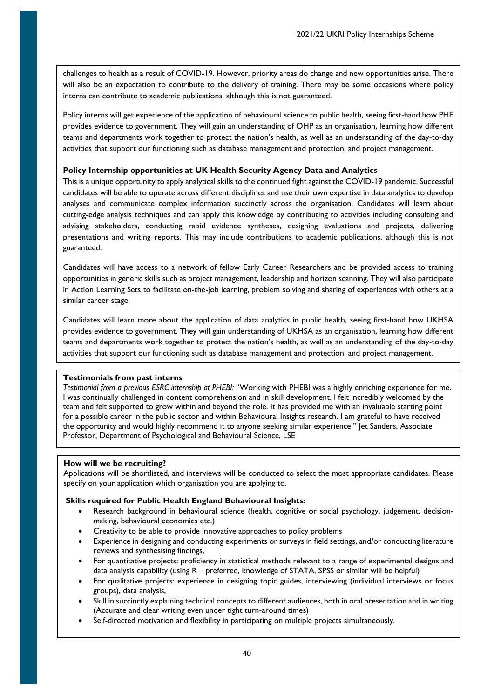challenges to health as a result of COVID-19. However, priority areas do change and new opportunities arise. There will also be an expectation to contribute to the delivery of training. There may be some occasions where policy interns can contribute to academic publications, although this is not guaranteed.

Policy interns will get experience of the application of behavioural science to public health, seeing first-hand how PHE provides evidence to government. They will gain an understanding of OHP as an organisation, learning how different teams and departments work together to protect the nation's health, as well as an understanding of the day-to-day activities that support our functioning such as database management and protection, and project management.

## **Policy Internship opportunities at UK Health Security Agency Data and Analytics**

This is a unique opportunity to apply analytical skills to the continued fight against the COVID-19 pandemic. Successful candidates will be able to operate across different disciplines and use their own expertise in data analytics to develop analyses and communicate complex information succinctly across the organisation. Candidates will learn about cutting-edge analysis techniques and can apply this knowledge by contributing to activities including consulting and advising stakeholders, conducting rapid evidence syntheses, designing evaluations and projects, delivering presentations and writing reports. This may include contributions to academic publications, although this is not guaranteed.

Candidates will have access to a network of fellow Early Career Researchers and be provided access to training opportunities in generic skills such as project management, leadership and horizon scanning. They will also participate in Action Learning Sets to facilitate on-the-job learning, problem solving and sharing of experiences with others at a similar career stage.

Candidates will learn more about the application of data analytics in public health, seeing first-hand how UKHSA provides evidence to government. They will gain understanding of UKHSA as an organisation, learning how different teams and departments work together to protect the nation's health, as well as an understanding of the day-to-day activities that support our functioning such as database management and protection, and project management.

## **Testimonials from past interns**

*Testimonial from a previous ESRC internship at PHEBI:* "Working with PHEBI was a highly enriching experience for me. I was continually challenged in content comprehension and in skill development. I felt incredibly welcomed by the team and felt supported to grow within and beyond the role. It has provided me with an invaluable starting point for a possible career in the public sector and within Behavioural Insights research. I am grateful to have received the opportunity and would highly recommend it to anyone seeking similar experience." Jet Sanders, Associate Professor, Department of Psychological and Behavioural Science, LSE

## **How will we be recruiting?**

Applications will be shortlisted, and interviews will be conducted to select the most appropriate candidates. Please specify on your application which organisation you are applying to.

# **Skills required for Public Health England Behavioural Insights:**

- Research background in behavioural science (health, cognitive or social psychology, judgement, decisionmaking, behavioural economics etc.)
- Creativity to be able to provide innovative approaches to policy problems
- Experience in designing and conducting experiments or surveys in field settings, and/or conducting literature reviews and synthesising findings,
- For quantitative projects: proficiency in statistical methods relevant to a range of experimental designs and data analysis capability (using R – preferred, knowledge of STATA, SPSS or similar will be helpful)
- For qualitative projects: experience in designing topic guides, interviewing (individual interviews or focus groups), data analysis,
- Skill in succinctly explaining technical concepts to different audiences, both in oral presentation and in writing (Accurate and clear writing even under tight turn-around times)
- Self-directed motivation and flexibility in participating on multiple projects simultaneously.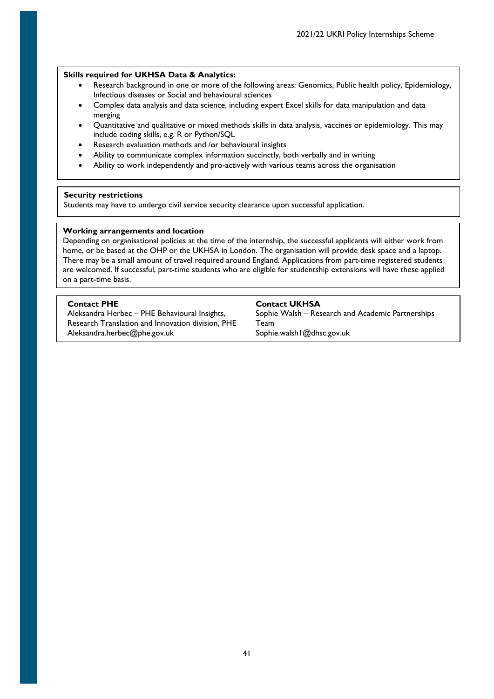### **Skills required for UKHSA Data & Analytics:**

- Research background in one or more of the following areas: Genomics, Public health policy, Epidemiology, Infectious diseases or Social and behavioural sciences
- Complex data analysis and data science, including expert Excel skills for data manipulation and data merging
- Quantitative and qualitative or mixed methods skills in data analysis, vaccines or epidemiology. This may include coding skills, e.g. R or Python/SQL
- Research evaluation methods and /or behavioural insights
- Ability to communicate complex information succinctly, both verbally and in writing
- Ability to work independently and pro-actively with various teams across the organisation

## **Security restrictions**

Students may have to undergo civil service security clearance upon successful application.

## **Working arrangements and location**

Depending on organisational policies at the time of the internship, the successful applicants will either work from home, or be based at the OHP or the UKHSA in London. The organisation will provide desk space and a laptop. There may be a small amount of travel required around England. Applications from part-time registered students are welcomed. If successful, part-time students who are eligible for studentship extensions will have these applied on a part-time basis.

**Contact PHE Contact UKHSA** Aleksandra Herbec – PHE Behavioural Insights,

Research Translation and Innovation division, PHE Aleksandra.herbec@phe.gov.uk Sophie.walsh1@dhsc.gov.uk

Sophie Walsh – Research and Academic Partnerships Team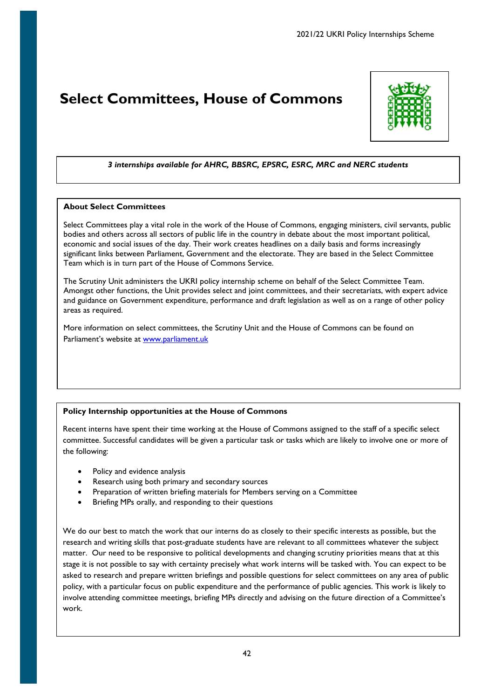# <span id="page-41-0"></span>**Select Committees, House of Commons**



# *3 internships available for AHRC, BBSRC, EPSRC, ESRC, MRC and NERC students*

# **About Select Committees**

Select Committees play a vital role in the work of the House of Commons, engaging ministers, civil servants, public bodies and others across all sectors of public life in the country in debate about the most important political, economic and social issues of the day. Their work creates headlines on a daily basis and forms increasingly significant links between Parliament, Government and the electorate. They are based in the Select Committee Team which is in turn part of the House of Commons Service.

The Scrutiny Unit administers the UKRI policy internship scheme on behalf of the Select Committee Team. Amongst other functions, the Unit provides select and joint committees, and their secretariats, with expert advice and guidance on Government expenditure, performance and draft legislation as well as on a range of other policy areas as required.

More information on select committees, the Scrutiny Unit and the House of Commons can be found on Parliament's website at www.parliament.uk

# **Policy Internship opportunities at the House of Commons**

Recent interns have spent their time working at the House of Commons assigned to the staff of a specific select committee. Successful candidates will be given a particular task or tasks which are likely to involve one or more of the following:

- Policy and evidence analysis
- Research using both primary and secondary sources
- Preparation of written briefing materials for Members serving on a Committee
- Briefing MPs orally, and responding to their questions

We do our best to match the work that our interns do as closely to their specific interests as possible, but the research and writing skills that post-graduate students have are relevant to all committees whatever the subject matter. Our need to be responsive to political developments and changing scrutiny priorities means that at this stage it is not possible to say with certainty precisely what work interns will be tasked with. You can expect to be asked to research and prepare written briefings and possible questions for select committees on any area of public policy, with a particular focus on public expenditure and the performance of public agencies. This work is likely to involve attending committee meetings, briefing MPs directly and advising on the future direction of a Committee's work.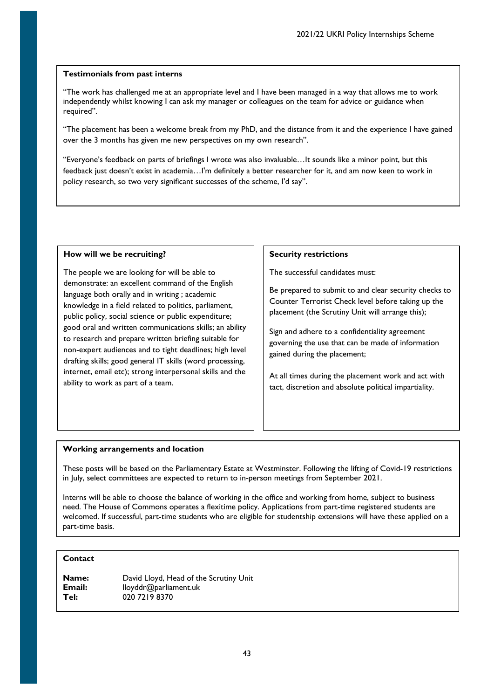"The work has challenged me at an appropriate level and I have been managed in a way that allows me to work independently whilst knowing I can ask my manager or colleagues on the team for advice or guidance when required".

"The placement has been a welcome break from my PhD, and the distance from it and the experience I have gained over the 3 months has given me new perspectives on my own research".

"Everyone's feedback on parts of briefings I wrote was also invaluable…It sounds like a minor point, but this feedback just doesn't exist in academia…I'm definitely a better researcher for it, and am now keen to work in policy research, so two very significant successes of the scheme, I'd say".

## **How will we be recruiting?**

The people we are looking for will be able to demonstrate: an excellent command of the English language both orally and in writing ; academic knowledge in a field related to politics, parliament, public policy, social science or public expenditure; good oral and written communications skills; an ability to research and prepare written briefing suitable for non-expert audiences and to tight deadlines; high level drafting skills; good general IT skills (word processing, internet, email etc); strong interpersonal skills and the ability to work as part of a team.

## **Security restrictions**

The successful candidates must:

Be prepared to submit to and clear security checks to Counter Terrorist Check level before taking up the placement (the Scrutiny Unit will arrange this);

Sign and adhere to a confidentiality agreement governing the use that can be made of information gained during the placement;

At all times during the placement work and act with tact, discretion and absolute political impartiality.

# **Working arrangements and location**

These posts will be based on the Parliamentary Estate at Westminster. Following the lifting of Covid-19 restrictions in July, select committees are expected to return to in-person meetings from September 2021.

Interns will be able to choose the balance of working in the office and working from home, subject to business need. The House of Commons operates a flexitime policy. Applications from part-time registered students are welcomed. If successful, part-time students who are eligible for studentship extensions will have these applied on a part-time basis.

# **Contact**

| <b>Name:</b>  | David Lloyd, Head of the Scrutiny Unit |
|---------------|----------------------------------------|
| <b>Email:</b> | lloyddr@parliament.uk                  |
| Tel:          | 020 7219 8370                          |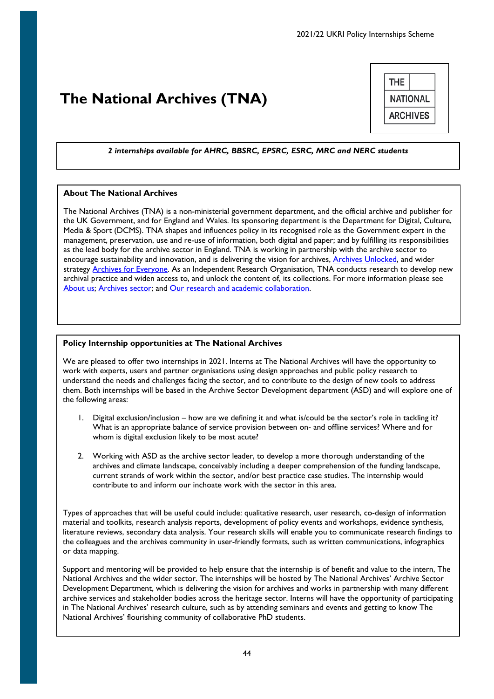# <span id="page-43-0"></span>**The National Archives (TNA)**

|                 | THE |
|-----------------|-----|
| <b>NATIONAL</b> |     |
| <b>ARCHIVES</b> |     |
|                 |     |

## *2 internships available for AHRC, BBSRC, EPSRC, ESRC, MRC and NERC students*

## **About The National Archives**

The National Archives (TNA) is a non-ministerial government department, and the official archive and publisher for the UK Government, and for England and Wales. Its sponsoring department is the Department for Digital, Culture, Media & Sport (DCMS). TNA shapes and influences policy in its recognised role as the Government expert in the management, preservation, use and re-use of information, both digital and paper; and by fulfilling its responsibilities as the lead body for the archive sector in England. TNA is working in partnership with the archive sector to encourage sustainability and innovation, and is delivering the vision for archives, [Archives Unlocked,](https://www.nationalarchives.gov.uk/archives-sector/projects-and-programmes/strategic-vision-for-archives/) and wider strategy **Archives for Everyone**. As an Independent Research Organisation, TNA conducts research to develop new archival practice and widen access to, and unlock the content of, its collections. For more information please see [About us;](https://www.nationalarchives.gov.uk/about/) [Archives sector;](https://www.nationalarchives.gov.uk/archives-sector/) and [Our research and academic collaboration.](https://www.nationalarchives.gov.uk/about/our-research-and-academic-collaboration/collaborative-phds/about-our-collaborative-doctoral-partnerships/)

#### **Policy Internship opportunities at The National Archives**

We are pleased to offer two internships in 2021. Interns at The National Archives will have the opportunity to work with experts, users and partner organisations using design approaches and public policy research to understand the needs and challenges facing the sector, and to contribute to the design of new tools to address them. Both internships will be based in the Archive Sector Development department (ASD) and will explore one of the following areas:

- 1. Digital exclusion/inclusion how are we defining it and what is/could be the sector's role in tackling it? What is an appropriate balance of service provision between on- and offline services? Where and for whom is digital exclusion likely to be most acute?
- 2. Working with ASD as the archive sector leader, to develop a more thorough understanding of the archives and climate landscape, conceivably including a deeper comprehension of the funding landscape, current strands of work within the sector, and/or best practice case studies. The internship would contribute to and inform our inchoate work with the sector in this area.

Types of approaches that will be useful could include: qualitative research, user research, co-design of information material and toolkits, research analysis reports, development of policy events and workshops, evidence synthesis, literature reviews, secondary data analysis. Your research skills will enable you to communicate research findings to the colleagues and the archives community in user-friendly formats, such as written communications, infographics or data mapping.

Support and mentoring will be provided to help ensure that the internship is of benefit and value to the intern, The National Archives and the wider sector. The internships will be hosted by The National Archives' Archive Sector Development Department, which is delivering the vision for archives and works in partnership with many different archive services and stakeholder bodies across the heritage sector. Interns will have the opportunity of participating in The National Archives' research culture, such as by attending seminars and events and getting to know The National Archives' flourishing community of collaborative PhD students.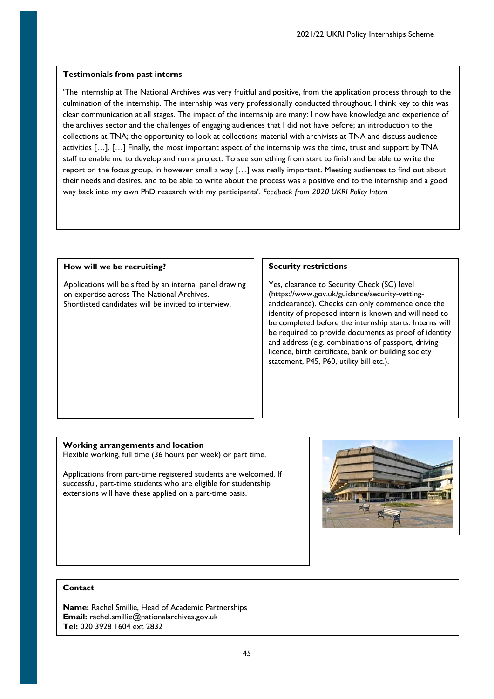'The internship at The National Archives was very fruitful and positive, from the application process through to the culmination of the internship. The internship was very professionally conducted throughout. I think key to this was clear communication at all stages. The impact of the internship are many: I now have knowledge and experience of the archives sector and the challenges of engaging audiences that I did not have before; an introduction to the collections at TNA; the opportunity to look at collections material with archivists at TNA and discuss audience activities […]. […] Finally, the most important aspect of the internship was the time, trust and support by TNA staff to enable me to develop and run a project. To see something from start to finish and be able to write the report on the focus group, in however small a way […] was really important. Meeting audiences to find out about their needs and desires, and to be able to write about the process was a positive end to the internship and a good way back into my own PhD research with my participants'. *Feedback from 2020 UKRI Policy Intern*

## **How will we be recruiting?**

Applications will be sifted by an internal panel drawing on expertise across The National Archives. Shortlisted candidates will be invited to interview.

## **Security restrictions**

Yes, clearance to Security Check (SC) level (https://www.gov.uk/guidance/security-vettingandclearance). Checks can only commence once the identity of proposed intern is known and will need to be completed before the internship starts. Interns will be required to provide documents as proof of identity and address (e.g. combinations of passport, driving licence, birth certificate, bank or building society statement, P45, P60, utility bill etc.).

## **Working arrangements and location**

Flexible working, full time (36 hours per week) or part time.

Applications from part-time registered students are welcomed. If successful, part-time students who are eligible for studentship extensions will have these applied on a part-time basis.



## **Contact**

**Name:** Rachel Smillie, Head of Academic Partnerships **Email:** rachel.smillie@nationalarchives.gov.uk **Tel:** 020 3928 1604 ext 2832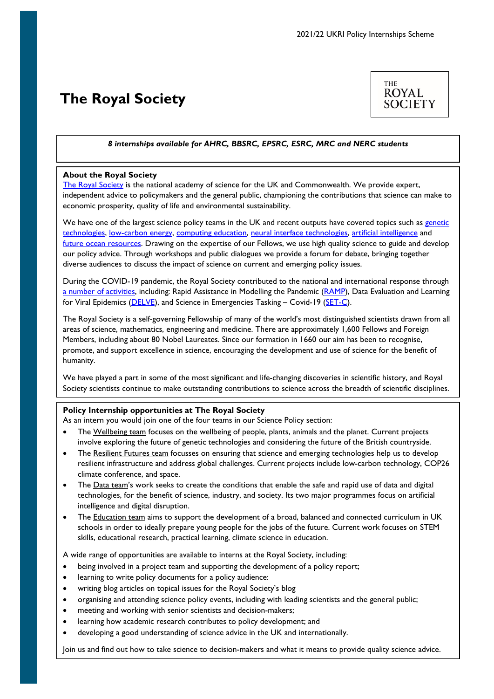# <span id="page-45-0"></span>**The Royal Society**



## *8 internships available for AHRC, BBSRC, EPSRC, ESRC, MRC and NERC students*

### **About the Royal Society**

[The Royal Society](https://royalsociety.org/) is the national academy of science for the UK and Commonwealth. We provide expert, independent advice to policymakers and the general public, championing the contributions that science can make to economic prosperity, quality of life and environmental sustainability.

We have one of the largest science policy teams in the UK and recent outputs have covered topics such as genetic [technologies,](https://royalsociety.org/topics-policy/projects/genetic-technologies/) [low-carbon energy,](https://royalsociety.org/topics-policy/projects/low-carbon-energy-programme/) [computing education,](https://royalsociety.org/topics-policy/projects/computing-education/) [neural interface technologies,](https://royalsociety.org/topics-policy/projects/ihuman-perspective/) [artificial intelligence](https://royalsociety.org/topics-policy/projects/machine-learning/you-and-ai/) and [future ocean resources.](https://royalsociety.org/topics-policy/projects/future-ocean-resources/) Drawing on the expertise of our Fellows, we use high quality science to guide and develop our policy advice. Through workshops and public dialogues we provide a forum for debate, bringing together diverse audiences to discuss the impact of science on current and emerging policy issues.

During the COVID-19 pandemic, the Royal Society contributed to the national and international response through [a number of activities,](https://royalsociety.org/whats-new/covid-19/) including: Rapid Assistance in Modelling the Pandemic [\(RAMP\)](https://royalsociety.org/topics-policy/Health%20and%20wellbeing/ramp/), Data Evaluation and Learning for Viral Epidemics [\(DELVE\)](https://royalsociety.org/news/2020/04/royal-society-convenes-data-analytics-group-to-tackle-COVID-19/), and Science in Emergencies Tasking - Covid-19 [\(SET-C\)](https://royalsociety.org/topics-policy/projects/set-c-science-in-emergencies-tasking-covid/).

The Royal Society is a self-governing Fellowship of many of the world's most distinguished scientists drawn from all areas of science, mathematics, engineering and medicine. There are approximately 1,600 Fellows and Foreign Members, including about 80 Nobel Laureates. Since our formation in 1660 our aim has been to recognise, promote, and support excellence in science, encouraging the development and use of science for the benefit of humanity.

We have played a part in some of the most significant and life-changing discoveries in scientific history, and Royal Society scientists continue to make outstanding contributions to science across the breadth of scientific disciplines.

#### **Policy Internship opportunities at The Royal Society**

As an intern you would join one of the four teams in our Science Policy section:

- The Wellbeing team focuses on the wellbeing of people, plants, animals and the planet. Current projects involve exploring the [future of genetic technologies](https://royalsociety.org/topics-policy/projects/genetic-technologies/) and considering the [future of the British countryside.](https://royalsociety.org/topics-policy/projects/living-landscapes/)
- The Resilient Futures team focusses on ensuring that science and emerging technologies help us to develop resilient infrastructure and address global challenges. Current projects include [low-carbon technology,](https://royalsociety.org/topics-policy/projects/low-carbon-energy-programme/) COP26 climate conference, and space.
- The Data team's work seeks to create the conditions that enable the safe and rapid use of data and digital technologies, for the benefit of science, industry, and society. Its two major programmes focus on [artificial](https://royalsociety.org/topics-policy/data-and-ai/digital-disruption/)  [intelligence](https://royalsociety.org/topics-policy/data-and-ai/digital-disruption/) and [digital disruption.](https://royalsociety.org/topics-policy/data-and-ai/digital-disruption/)
- The Education team aims to support the development of a broad, balanced and connected curriculum in UK schools in order to ideally prepare young people for the jobs of the future. Current work focuses on STEM skills, educational research, practical learning, climate science in education.

A wide range of opportunities are available to interns at the Royal Society, including:

- being involved in a project team and supporting the development of a policy report;
- learning to write policy documents for a policy audience:
- writing blog articles on topical issues for the Royal Society's blog
- organising and attending science policy events, including with leading scientists and the general public;
- meeting and working with senior scientists and decision-makers;
- learning how academic research contributes to policy development; and
- developing a good understanding of science advice in the UK and internationally.

46 Join us and find out how to take science to decision-makers and what it means to provide quality science advice.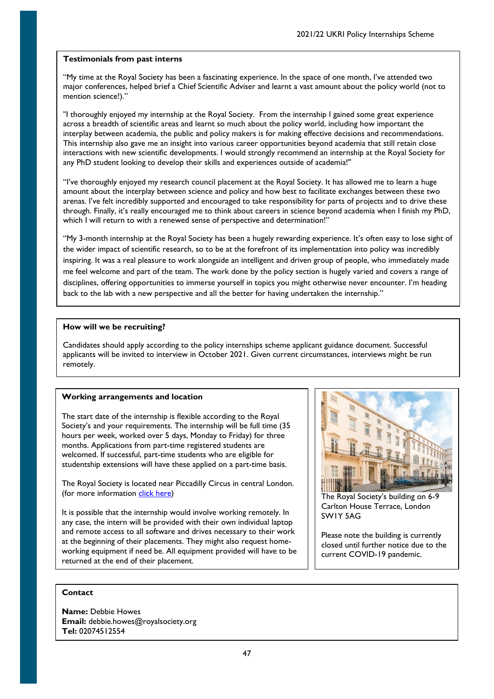"My time at the Royal Society has been a fascinating experience. In the space of one month, I've attended two major conferences, helped brief a Chief Scientific Adviser and learnt a vast amount about the policy world (not to mention science!)."

"I thoroughly enjoyed my internship at the Royal Society. From the internship I gained some great experience across a breadth of scientific areas and learnt so much about the policy world, including how important the interplay between academia, the public and policy makers is for making effective decisions and recommendations. This internship also gave me an insight into various career opportunities beyond academia that still retain close interactions with new scientific developments. I would strongly recommend an internship at the Royal Society for any PhD student looking to develop their skills and experiences outside of academia!"

"I've thoroughly enjoyed my research council placement at the Royal Society. It has allowed me to learn a huge amount about the interplay between science and policy and how best to facilitate exchanges between these two arenas. I've felt incredibly supported and encouraged to take responsibility for parts of projects and to drive these through. Finally, it's really encouraged me to think about careers in science beyond academia when I finish my PhD, which I will return to with a renewed sense of perspective and determination!"

"My 3-month internship at the Royal Society has been a hugely rewarding experience. It's often easy to lose sight of the wider impact of scientific research, so to be at the forefront of its implementation into policy was incredibly inspiring. It was a real pleasure to work alongside an intelligent and driven group of people, who immediately made me feel welcome and part of the team. The work done by the policy section is hugely varied and covers a range of disciplines, offering opportunities to immerse yourself in topics you might otherwise never encounter. I'm heading back to the lab with a new perspective and all the better for having undertaken the internship."

## **How will we be recruiting?**

Candidates should apply according to the policy internships scheme applicant guidance document. Successful applicants will be invited to interview in October 2021. Given current circumstances, interviews might be run remotely.

## **Working arrangements and location**

The start date of the internship is flexible according to the Royal Society's and your requirements. The internship will be full time (35 hours per week, worked over 5 days, Monday to Friday) for three months. Applications from part-time registered students are welcomed. If successful, part-time students who are eligible for studentship extensions will have these applied on a part-time basis.

The Royal Society is located near Piccadilly Circus in central London. (for more information [click here\)](https://royalsociety.org/about-us/contact-us/carlton-house-terrace-london/)

It is possible that the internship would involve working remotely. In any case, the intern will be provided with their own individual laptop and remote access to all software and drives necessary to their work at the beginning of their placements. They might also request homeworking equipment if need be. All equipment provided will have to be returned at the end of their placement.



The Royal Society's building on 6-9 Carlton House Terrace, London SW1Y 5AG

Please note the building is currently closed until further notice due to the current COVID-19 pandemic.

## **Contact**

**Name:** Debbie Howes **Email:** debbie.howes@royalsociety.org **Tel:** 02074512554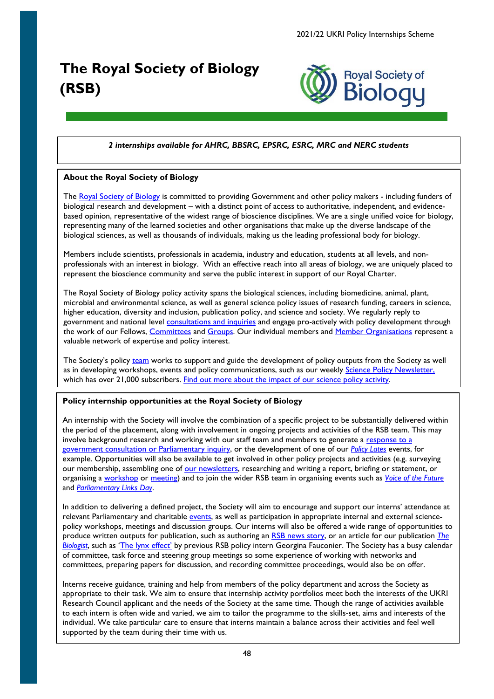# <span id="page-47-0"></span>**The Royal Society of Biology (RSB)**



# *2 internships available for AHRC, BBSRC, EPSRC, ESRC, MRC and NERC students*

# **About the Royal Society of Biology**

The [Royal Society of Biology](https://www.rsb.org.uk/about-us) is committed to providing Government and other policy makers - including funders of biological research and development – with a distinct point of access to authoritative, independent, and evidencebased opinion, representative of the widest range of bioscience disciplines. We are a single unified voice for biology, representing many of the learned societies and other organisations that make up the diverse landscape of the biological sciences, as well as thousands of individuals, making us the leading professional body for biology.

Members include scientists, professionals in academia, industry and education, students at all levels, and nonprofessionals with an interest in biology. With an effective reach into all areas of biology, we are uniquely placed to represent the bioscience community and serve the public interest in support of our Royal Charter.

The Royal Society of Biology policy activity spans the biological sciences, including biomedicine, animal, plant, microbial and environmental science, as well as general science policy issues of research funding, careers in science, higher education, diversity and inclusion, publication policy, and science and society. We regularly reply to government and national level [consultations and inquiries](https://www.rsb.org.uk/policy/consultations) and engage pro-actively with policy development through the work of our Fellows, [Committees](https://www.rsb.org.uk/about-us/committees/esp) and [Groups.](https://www.rsb.org.uk/policy) Our individual members and [Member Organisations](https://www.rsb.org.uk/membership/organisational-membership) represent a valuable network of expertise and policy interest.

The Society's policy [team](https://www.rsb.org.uk/about-us/our-team) works to support and guide the development of policy outputs from the Society as well as in developing workshops, events and policy communications, such as our weekly [Science Policy Newsletter,](https://www.rsb.org.uk/policy/policy-resources/policy-newsletter) which has over 21,000 subscribers. [Find out more about the impact of our science policy activity.](https://anniversary.rsb.org.uk/images/Anniversary/3_Science_Policy.pdf)

# **Policy internship opportunities at the Royal Society of Biology**

An internship with the Society will involve the combination of a specific project to be substantially delivered within the period of the placement, along with involvement in ongoing projects and activities of the RSB team. This may involve background research and working with our staff team and members to generate a response to a [government consultation or Parliamentary inquiry,](https://www.rsb.org.uk/policy/consultations/consultation-responses) or the development of one of our *[Policy Lates](https://www.rsb.org.uk/policy/policy-events/policy-lates)* events, for example. Opportunities will also be available to get involved in other policy projects and activities (e.g. surveying our membership, assembling one of [our newsletters,](https://www.rsb.org.uk/policy/policy-resources/policy-newsletter) researching and writing a report, briefing or statement, or organising a [workshop](https://www.rsb.org.uk/news/news-archive/1876-early-career-researchers-come-together-to-tackle-antimicrobial-resistance-challenges?Itemid=531) or [meeting\)](https://www.rsb.org.uk/policy/groups-and-committees/asg/asg-membership/animal-science-meetings) and to join the wider RSB team in organising events such as *[Voice of the Future](https://www.rsb.org.uk/policy/policy-events/voice-of-the-future)* and *[Parliamentary Links Day](https://www.rsb.org.uk/policy/policy-events/parliamentary-links-day)*.

In addition to delivering a defined project, the Society will aim to encourage and support our interns' attendance at relevant Parliamentary and charitable [events,](https://www.rsb.org.uk/events) as well as participation in appropriate internal and external sciencepolicy workshops, meetings and discussion groups. Our interns will also be offered a wide range of opportunities to produce written outputs for publication, such as authoring an [RSB news story,](https://www.rsb.org.uk/news/14-news/2295-rsb-responds-to-the-largest-and-fastest-increase-in-r-d-investment-on-record-announced-by-the-government) or an article for our publication *[The](https://thebiologist.rsb.org.uk/biologist-interviews)  [Biologist](https://thebiologist.rsb.org.uk/biologist-interviews)*, such as ['The lynx effect'](https://thebiologist.rsb.org.uk/biologist-features/the-lynx-effect-2) by previous RSB policy intern Georgina Fauconier. The Society has a busy calendar of committee, task force and steering group meetings so some experience of working with networks and committees, preparing papers for discussion, and recording committee proceedings, would also be on offer.

Interns receive guidance, training and help from members of the policy department and across the Society as appropriate to their task. We aim to ensure that internship activity portfolios meet both the interests of the UKRI Research Council applicant and the needs of the Society at the same time. Though the range of activities available to each intern is often wide and varied, we aim to tailor the programme to the skills-set, aims and interests of the individual. We take particular care to ensure that interns maintain a balance across their activities and feel well supported by the team during their time with us.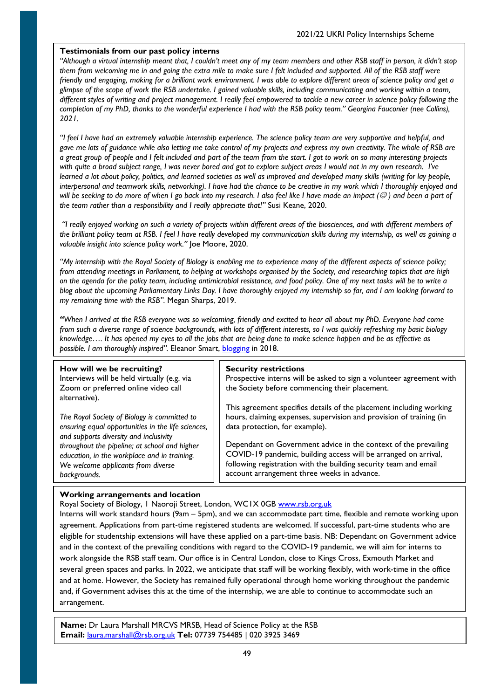## **Testimonials from our past policy interns**

*"Although a virtual internship meant that, I couldn't meet any of my team members and other RSB staff in person, it didn't stop them from welcoming me in and going the extra mile to make sure I felt included and supported. All of the RSB staff were friendly and engaging, making for a brilliant work environment. I was able to explore different areas of science policy and get a glimpse of the scope of work the RSB undertake. I gained valuable skills, including communicating and working within a team, different styles of writing and project management. I really feel empowered to tackle a new career in science policy following the completion of my PhD, thanks to the wonderful experience I had with the RSB policy team." Georgina Fauconier (nee Collins), 2021.*

*"I feel I have had an extremely valuable internship experience. The science policy team are very supportive and helpful, and gave me lots of guidance while also letting me take control of my projects and express my own creativity. The whole of RSB are a great group of people and I felt included and part of the team from the start. I got to work on so many interesting projects with quite a broad subject range, I was never bored and got to explore subject areas I would not in my own research. I've learned a lot about policy, politics, and learned societies as well as improved and developed many skills (writing for lay people, interpersonal and teamwork skills, networking). I have had the chance to be creative in my work which I thoroughly enjoyed and will be seeking to do more of when I go back into my research. I also feel like I have made an impact ( ) and been a part of the team rather than a responsibility and I really appreciate that!"* Susi Keane, 2020.

*"I really enjoyed working on such a variety of projects within different areas of the biosciences, and with different members of the brilliant policy team at RSB. I feel I have really developed my communication skills during my internship, as well as gaining a valuable insight into science policy work."* Joe Moore, 2020.

*"My internship with the Royal Society of Biology is enabling me to experience many of the different aspects of science policy; from attending meetings in Parliament, to helping at workshops organised by the Society, and researching topics that are high on the agenda for the policy team, including antimicrobial resistance, and food policy. One of my next tasks will be to write a blog about the upcoming Parliamentary Links Day. I have thoroughly enjoyed my internship so far, and I am looking forward to my remaining time with the RSB".* Megan Sharps, 2019.

*"When I arrived at the RSB everyone was so welcoming, friendly and excited to hear all about my PhD. Everyone had come from such a diverse range of science backgrounds, with lots of different interests, so I was quickly refreshing my basic biology knowledge…. It has opened my eyes to all the jobs that are being done to make science happen and be as effective as possible. I am thoroughly inspired".* Eleanor Smart, [blogging](http://blog.rsb.org.uk/interning-with-the-rsb-science-policy-team/) in 2018.

| How will we be recruiting?<br>Interviews will be held virtually (e.g. via<br>Zoom or preferred online video call<br>alternative). | <b>Security restrictions</b><br>Prospective interns will be asked to sign a volunteer agreement with<br>the Society before commencing their placement. |
|-----------------------------------------------------------------------------------------------------------------------------------|--------------------------------------------------------------------------------------------------------------------------------------------------------|
| The Royal Society of Biology is committed to                                                                                      | This agreement specifies details of the placement including working                                                                                    |
| ensuring equal opportunities in the life sciences,                                                                                | hours, claiming expenses, supervision and provision of training (in                                                                                    |
| and supports diversity and inclusivity                                                                                            | data protection, for example).                                                                                                                         |
| throughout the pipeline; at school and higher                                                                                     | Dependant on Government advice in the context of the prevailing                                                                                        |
| education, in the workplace and in training.                                                                                      | COVID-19 pandemic, building access will be arranged on arrival,                                                                                        |
| We welcome applicants from diverse                                                                                                | following registration with the building security team and email                                                                                       |
| backgrounds.                                                                                                                      | account arrangement three weeks in advance.                                                                                                            |

## **Working arrangements and location**

Royal Society of Biology, 1 Naoroji Street, London, WC1X 0GB [www.rsb.org.uk](http://www.rsb.org.uk/)

Interns will work standard hours (9am – 5pm), and we can accommodate part time, flexible and remote working upon agreement. Applications from part-time registered students are welcomed. If successful, part-time students who are eligible for studentship extensions will have these applied on a part-time basis. NB: Dependant on Government advice and in the context of the prevailing conditions with regard to the COVID-19 pandemic, we will aim for interns to work alongside the RSB staff team. Our office is in Central London, close to Kings Cross, Exmouth Market and several green spaces and parks. In 2022, we anticipate that staff will be working flexibly, with work-time in the office and at home. However, the Society has remained fully operational through home working throughout the pandemic and, if Government advises this at the time of the internship, we are able to continue to accommodate such an arrangement.

**Name:** Dr Laura Marshall MRCVS MRSB, Head of Science Policy at the RSB **Email:** [laura.marshall@rsb.org.uk](mailto:laura.marshall@rsb.org.uk) **Tel:** 07739 754485 | 020 3925 3469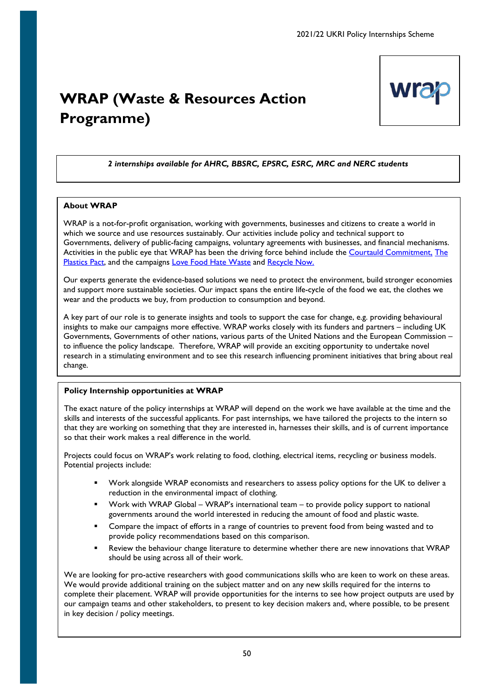# <span id="page-49-0"></span>**WRAP (Waste & Resources Action Programme)**



# *2 internships available for AHRC, BBSRC, EPSRC, ESRC, MRC and NERC students*

## **About WRAP**

WRAP is a not-for-profit organisation, working with governments, businesses and citizens to create a world in which we source and use resources sustainably. Our activities include policy and technical support to Governments, delivery of public-facing campaigns, voluntary agreements with businesses, and financial mechanisms. Activities in the public eye that WRAP has been the driving force behind include the [Courtauld Commitment,](http://www.wrap.org.uk/content/courtauld-commitment-2025) The [Plastics Pact,](http://www.wrap.org.uk/content/the-uk-plastics-pact) and the campaigns [Love Food Hate Waste](https://www.lovefoodhatewaste.com/) and [Recycle Now.](https://www.recyclenow.com/)

Our experts generate the evidence-based solutions we need to protect the environment, build stronger economies and support more sustainable societies. Our impact spans the entire life-cycle of the food we eat, the clothes we wear and the products we buy, from production to consumption and beyond.

A key part of our role is to generate insights and tools to support the case for change, e.g. providing behavioural insights to make our campaigns more effective. WRAP works closely with its funders and partners – including UK Governments, Governments of other nations, various parts of the United Nations and the European Commission – to influence the policy landscape. Therefore, WRAP will provide an exciting opportunity to undertake novel research in a stimulating environment and to see this research influencing prominent initiatives that bring about real change.

## **Policy Internship opportunities at WRAP**

The exact nature of the policy internships at WRAP will depend on the work we have available at the time and the skills and interests of the successful applicants. For past internships, we have tailored the projects to the intern so that they are working on something that they are interested in, harnesses their skills, and is of current importance so that their work makes a real difference in the world.

Projects could focus on WRAP's work relating to food, clothing, electrical items, recycling or business models. Potential projects include:

- Work alongside WRAP economists and researchers to assess policy options for the UK to deliver a reduction in the environmental impact of clothing.
- Work with WRAP Global WRAP's international team to provide policy support to national governments around the world interested in reducing the amount of food and plastic waste.
- Compare the impact of efforts in a range of countries to prevent food from being wasted and to provide policy recommendations based on this comparison.
- Review the behaviour change literature to determine whether there are new innovations that WRAP should be using across all of their work.

We are looking for pro-active researchers with good communications skills who are keen to work on these areas. We would provide additional training on the subject matter and on any new skills required for the interns to complete their placement. WRAP will provide opportunities for the interns to see how project outputs are used by our campaign teams and other stakeholders, to present to key decision makers and, where possible, to be present in key decision / policy meetings.